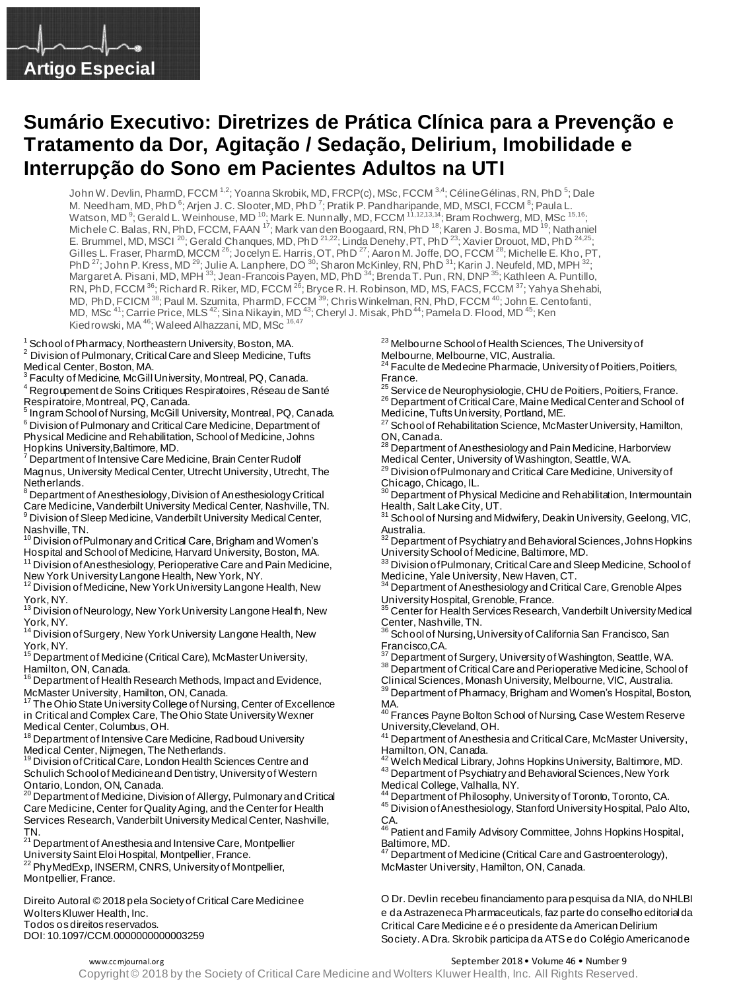

# **Sumário Executivo: Diretrizes de Prática Clínica para a Prevenção e Tratamento da Dor, Agitação / Sedação, Delirium, Imobilidade e Interrupção do Sono em Pacientes Adultos na UTI**

John W. Devlin, PharmD, FCCM <sup>1,2</sup>; Yoanna Skrobik, MD, FRCP(c), MSc, FCCM <sup>3,4</sup>; Céline Gélinas, RN, PhD <sup>5</sup>; Dale M. Needham, MD, PhD  $^6$ ; Arjen J. C. Slooter, MD, PhD  $^7$ ; Pratik P. Pandharipande, MD, MSCI, FCCM  $^8$ ; Paula L. Watson, MD  $^9$ ; Gerald L. Weinhouse, MD  $^{10}$ ; Mark E. Nunnally, MD, FCCM  $^{11,12,13,14}$ ; Bram Rochwerg, MD, MSc  $^{15,16}$ ; Michele C. Balas, RN, PhD, FCCM, FAAN <sup>17</sup>; Mark van den Boogaard, RN, PhD <sup>18</sup>; Karen J. Bosma, MD <sup>19</sup>; Nathaniel E. Brummel, MD, MSCI <sup>20</sup>; Gerald Chanques, MD, PhD <sup>21,22</sup>; Linda Denehy, PT, PhD <sup>23</sup>; Xavier Drouot, MD, PhD <sup>24,25</sup>; Gilles L. Fraser, PharmD, MCCM <sup>26</sup>; Jocelyn E. Harris, OT, PhD <sup>27</sup>; Aaron M. Joffe, DO, FCCM <sup>28</sup>; Michelle E. Kho, PT, PhD  $^{27}$ ; John P. Kress, MD  $^{29}$ ; Julie A. Lanphere, DO  $^{30}$ ; Sharon McKinley, RN, PhD  $^{31}$ ; Karin J. Neufeld, MD, MPH  $^{32}$ ; Margaret A. Pisani, MD, MPH <sup>33</sup>; Jean-Francois Payen, MD, PhD <sup>34</sup>; Brenda T. Pun, RN, DNP <sup>35</sup>; Kathleen A. Puntillo, RN, PhD, FCCM <sup>36</sup>; Richard R. Riker, MD, FCCM <sup>26</sup>; Bryce R. H. Robinson, MD, MS, FACS, FCCM <sup>37</sup>; Yahya Shehabi, MD, PhD, FCICM <sup>38</sup>; Paul M. Szumita, PharmD, FCCM <sup>39</sup>; Chris Winkelman, RN, PhD, FCCM <sup>40</sup>; John E. Centofanti, MD, MSc <sup>41</sup>; Carrie Price, MLS <sup>42</sup>; Sina Nikayin, MD <sup>43</sup>; Cheryl J. Misak, PhD <sup>44</sup>; Pamela D. Flood, MD <sup>45</sup>; Ken Kiedrowski, MA <sup>46</sup>; Waleed Alhazzani, MD, MSc <sup>16,47</sup>

<sup>1</sup> School of Pharmacy, Northeastern University, Boston, MA.

2 Division of Pulmonary, Critical Care and Sleep Medicine, Tufts Medical Center, Boston, MA.

<sup>3</sup> Faculty of Medicine, McGill University, Montreal, PQ, Canada. <sup>4</sup>Regroupement de Soins Critiques Respiratoires, Réseau de Santé Respiratoire, Montreal, PQ, Canada.

5Ingram School of Nursing, McGill University, Montreal, PQ, Canada.  $6$  Division of Pulmonary and Critical Care Medicine, Department of Physical Medicine and Rehabilitation, School of Medicine, Johns Hopkins University,Baltimore, MD.

<sup>7</sup> Department of Intensive Care Medicine, Brain Center Rudolf Magnus, University Medical Center, Utrecht University, Utrecht, The Netherlands.

**BED AT ANN AND FIRE AT A RESE** DEPARTMENT OF Anesthesiology Critical Care Medicine, Vanderbilt University Medical Center, Nashville, TN. <sup>9</sup> Division of Sleep Medicine, Vanderbilt University Medical Center,

Nashville, TN.<br><sup>10</sup> Division ofPulmonary and Critical Care, Brigham and Women's Hospital and School of Medicine, Harvard University, Boston, MA.

<sup>11</sup> Division of Anesthesiology, Perioperative Care and Pain Medicine,

New York University Langone Health, New York, NY.<br><sup>12</sup> Division of Medicine, New York University Langone Health, New

York, NY.<br><sup>13</sup> Division of Neurology, New York University Langone Health, New

York, NY.<br><sup>14</sup> Division of Surgery, New York University Langone Health, New

York, NY.<br><sup>15</sup> Department of Medicine (Critical Care), McMaster University, Hamilton, ON, Canada.

<sup>16</sup> Department of Health Research Methods, Impact and Evidence,

McMaster University, Hamilton, ON, Canada.<br><sup>17</sup> The Ohio State University College of Nursing, Center of Excellence in Critical and Complex Care, The Ohio State University Wexner Medical Center, Columbus, OH.

<sup>18</sup> Department of Intensive Care Medicine, Radboud University Medical Center, Nijmegen, The Netherlands.<br><sup>19</sup> Division of Critical Care, London Health Sciences Centre and

Schulich School of Medicine and Dentistry, University of Western

Ontario, London, ON, Canada.<br><sup>20</sup> Department of Medicine, Division of Allergy, Pulmonary and Critical Care Medicine, Center for Quality Aging, and the Center for Health Services Research, Vanderbilt University Medical Center, Nashville, TN.<br><sup>21</sup> Department of Anesthesia and Intensive Care, Montpellier

University Saint Eloi Hospital, Montpellier, France. <sup>22</sup> PhyMedExp, INSERM, CNRS, University of Montpellier, Montpellier, France.

Direito Autoral © 2018 pela Society of Critical Care Medicine e Wolters Kluwer Health, Inc. Todos os direitos reservados. DOI: 10.1097/CCM.0000000000003259

<sup>23</sup> Melbourne School of Health Sciences, The University of Melbourne, Melbourne, VIC, Australia.

<sup>24</sup> Faculte de Medecine Pharmacie, University of Poitiers, Poitiers, France.

<sup>25</sup> Service de Neurophysiologie, CHU de Poitiers, Poitiers, France. 26 Department of Critical Care, Maine Medical Center and School of Medicine, Tufts University, Portland, ME.

 $^{27}$  School of Rehabilitation Science, McMaster University, Hamilton, ON, Canada.

<sup>28</sup> Department of Anesthesiology and Pain Medicine, Harborview Medical Center, University of Washington, Seattle, WA.

<sup>29</sup> Division of Pulmonary and Critical Care Medicine, University of

Chicago, Chicago, IL.<br><sup>30</sup> Department of Physical Medicine and Rehabilitation, Intermountain Health, Salt Lake City, UT.

<sup>31</sup> School of Nursing and Midwifery, Deakin University, Geelong, VIC,

Australia.<br><sup>32</sup> Department of Psychiatry and Behavioral Sciences, Johns Hopkins University School of Medicine, Baltimore, MD.

<sup>33</sup> Division of Pulmonary, Critical Care and Sleep Medicine, School of

Medicine, Yale University, New Haven, CT.<br><sup>34</sup> Department of Anesthesiology and Critical Care, Grenoble Alpes University Hospital, Grenoble, France.

<sup>35</sup> Center for Health Services Research, Vanderbilt University Medical Center, Nashville, TN.

 $^3$  School of Nursing, University of California San Francisco, San

Francisco,CA. <sup>37</sup>Department of Surgery, University of Washington, Seattle, WA.

38 Department of Critical Care and Perioperative Medicine, School of

Clinical Sciences, Monash University, Melbourne, VIC, Australia.

39 Department of Pharmacy, Brigham and Women's Hospital, Boston, MA.

....<br><sup>40</sup> Frances Payne Bolton School of Nursing, Case Westem Reserve University,Cleveland, OH.

41 Department of Anesthesia and Critical Care, McMaster University,

Hamilton, ON, Canada.<br><sup>42</sup> Welch Medical Library, Johns Hopkins University, Baltimore, MD. 43 Department of Psychiatry and Behavioral Sciences, New York

Medical College, Valhalla, NY.

44 Department of Philosophy, University of Toronto, Toronto, CA. <sup>45</sup>Division of Anesthesiology, Stanford University Hospital, Palo Alto,

CA.<br><sup>46</sup> Patient and Family Advisory Committee, Johns Hopkins Hospital, Baltimore, MD.

<sup>47</sup> Department of Medicine (Critical Care and Gastroenterology), McMaster University, Hamilton, ON, Canada.

O Dr. Devlin recebeu financiamento para pesquisa da NIA, do NHLBI e da Astrazeneca Pharmaceuticals, faz parte do conselho editorial da Critical Care Medicine e é o presidente da American Delirium Society. A Dra. Skrobik participa da ATS e do Colégio Americano de

### www.cc mjournal.org **September 2018 • Volume 46 • Number 9**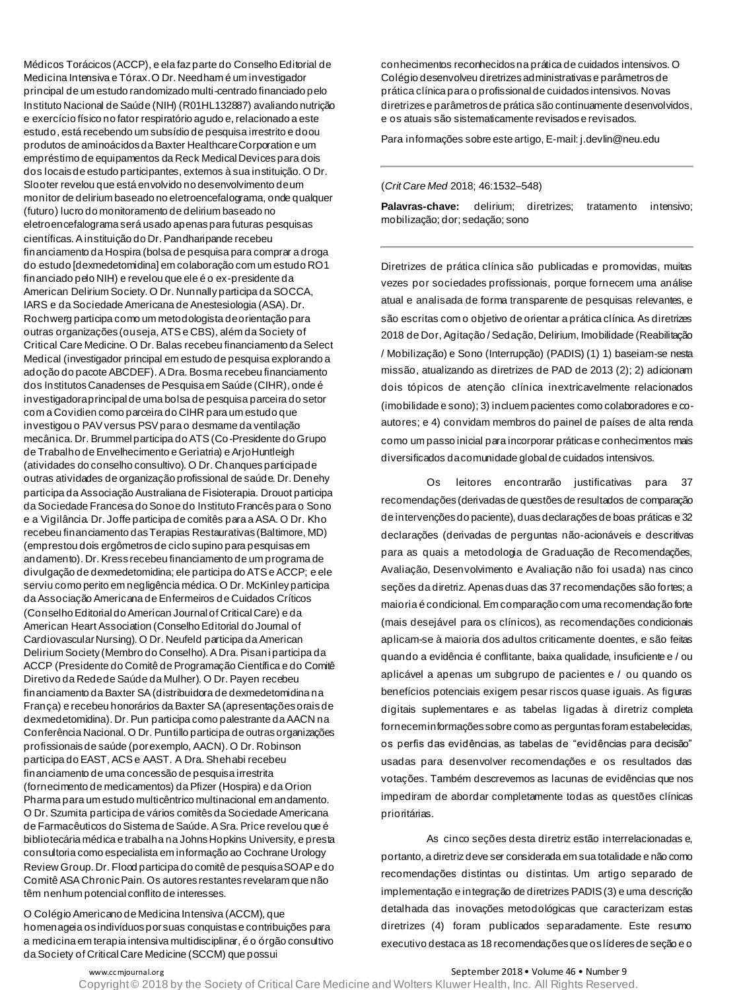Médicos Torácicos (ACCP), e ela faz parte do Conselho Editorial de Medicina Intensiva e Tórax. O Dr. Needham é um investigador principal de um estudo randomizado multi-centrado financiado pelo Instituto Nacional de Saúde (NIH) (R01HL132887) avaliando nutrição e exercício físico no fator respiratório agudo e, relacionado a este estudo, está recebendo um subsídio de pesquisa irrestrito e doou produtos de aminoácidos da Baxter Healthcare Corporation e um empréstimo de equipamentos da Reck Medical Devices para dois dos locais de estudo participantes, externos à sua instituição. O Dr. Slooter revelou que está envolvido no desenvolvimento de um monitor de delirium baseado no eletroencefalograma, onde qualquer (futuro) lucro do monitoramento de delirium baseado no eletroencefalograma será usado apenas para futuras pesquisas científicas. A instituição do Dr. Pandharipande recebeu financiamento da Hospira (bolsa de pesquisa para comprar a droga do estudo [dexmedetomidina] em colaboração com um estudo RO1 financiado pelo NIH) e revelou que ele é o ex-presidente da American Delirium Society. O Dr. Nunnally participa da SOCCA, IARS e da Sociedade Americana de Anestesiologia (ASA). Dr. Rochwerg participa como um metodologista de orientação para outras organizações (ou seja, ATS e CBS), além da Society of Critical Care Medicine. O Dr. Balas recebeu financiamento da Select Medical (investigador principal em estudo de pesquisa explorando a adoção do pacote ABCDEF). A Dra. Bosma recebeu financiamento dos Institutos Canadenses de Pesquisaem Saúde (CIHR), onde é investigadora principal de uma bolsa de pesquisa parceira do setor com a Covidien como parceira do CIHR para um estudo que investigou o PAV versus PSV para o desmame da ventilação mecânica. Dr. Brummel participa do ATS (Co-Presidente do Grupo de Trabalho de Envelhecimento e Geriatria) e ArjoHuntleigh (atividades do conselho consultivo). O Dr. Chanques participa de outras atividades de organização profissional de saúde. Dr. Denehy participa da Associação Australiana de Fisioterapia. Drouot participa da Sociedade Francesa do Sono e do Instituto Francês para o Sono e a Vigilância. Dr. Joffe participa de comitês para a ASA. O Dr. Kho recebeu financiamento das Terapias Restaurativas (Baltimore, MD) (emprestou dois ergômetros de ciclo supino para pesquisas em andamento). Dr. Kress recebeu financiamento de um programa de divulgação de dexmedetomidina; ele participa do ATS e ACCP; e ele serviu como perito em negligência médica. O Dr. McKinley participa da Associação Americana de Enfermeiros de Cuidados Críticos (Conselho Editorial do American Journal of Critical Care) e da American Heart Association (Conselho Editorial do Journal of Cardiovascular Nursing). O Dr. Neufeld participa da American Delirium Society (Membro do Conselho). A Dra. Pisani participa da ACCP (Presidente do Comitê de Programação Científica e do Comitê Diretivo da Rede de Saúde da Mulher). O Dr. Payen recebeu financiamento da Baxter SA (distribuidora de dexmedetomidina na França) e recebeu honorários da Baxter SA (apresentações orais de dexmedetomidina). Dr. Pun participa como palestrante da AACN na Conferência Nacional. O Dr. Puntillo participa de outras organizações profissionais de saúde (por exemplo, AACN). O Dr. Robinson participa do EAST, ACS e AAST. A Dra. Shehabi recebeu financiamento de uma concessão de pesquisa irrestrita (fornecimento de medicamentos) da Pfizer (Hospira) e da Orion Pharma para um estudo multicêntrico multinacional em andamento. O Dr. Szumita participa de vários comitês da Sociedade Americana de Farmacêuticos do Sistema de Saúde. A Sra. Price revelou que é bibliotecária médica e trabalha na Johns Hopkins University, e presta consultoria como especialista em informação ao Cochrane Urology Review Group. Dr. Flood participa do comitê de pesquisa SOAP e do Comitê ASA Chronic Pain. Os autores restantes revelaram que não têm nenhum potencial conflito de interesses.

O Colégio Americano de Medicina Intensiva (ACCM), que homenageia os indivíduos por suas conquistas e contribuições para a medicina em terapia intensiva multidisciplinar, é o órgão consultivo da Society of Critical Care Medicine (SCCM) que possui

conhecimentos reconhecidos na prática de cuidados intensivos. O Colégio desenvolveu diretrizes administrativas e parâmetros de prática clínica para o profissional de cuidados intensivos. Novas diretrizes e parâmetros de prática são continuamente desenvolvidos, e os atuais são sistematicamente revisados e revisados.

Para informações sobre este artigo, E-mail: j.devlin@neu.edu

### (*Crit Care Med* 2018; 46:1532–548)

**Palavras-chave:** delirium; diretrizes; tratamento intensivo; mobilização; dor; sedação; sono

Diretrizes de prática clínica são publicadas e promovidas, muitas vezes por sociedades profissionais, porque fornecem uma análise atual e analisada de forma transparente de pesquisas relevantes, e são escritas com o objetivo de orientar a prática clínica. As diretrizes 2018 de Dor, Agitação / Sedação, Delirium, Imobilidade (Reabilitação / Mobilização) e Sono (Interrupção) (PADIS) (1) 1) baseiam-se nesta missão, atualizando as diretrizes de PAD de 2013 (2); 2) adicionam dois tópicos de atenção clínica inextricavelmente relacionados (imobilidade e sono); 3) incluem pacientes como colaboradores e coautores; e 4) convidam membros do painel de países de alta renda como um passo inicial para incorporar práticas e conhecimentos mais diversificados da comunidade global de cuidados intensivos.

Os leitores encontrarão justificativas para 37 recomendações (derivadas de questões de resultados de comparação de intervenções do paciente), duas declarações de boas práticas e 32 declarações (derivadas de perguntas não-acionáveis e descritivas para as quais a metodologia de Graduação de Recomendações, Avaliação, Desenvolvimento e Avaliação não foi usada) nas cinco seções da diretriz. Apenas duas das 37 recomendações são fortes; a maioria é condicional. Em comparação com uma recomendação forte (mais desejável para os clínicos), as recomendações condicionais aplicam-se à maioria dos adultos criticamente doentes, e são feitas quando a evidência é conflitante, baixa qualidade, insuficiente e / ou aplicável a apenas um subgrupo de pacientes e / ou quando os benefícios potenciais exigem pesar riscos quase iguais. As figuras digitais suplementares e as tabelas ligadas à diretriz completa fornecem informações sobre como as perguntas foram estabelecidas, os perfis das evidências, as tabelas de "evidências para decisão" usadas para desenvolver recomendações e os resultados das votações. Também descrevemos as lacunas de evidências que nos impediram de abordar completamente todas as questões clínicas prioritárias.

As cinco seções desta diretriz estão interrelacionadas e, portanto, a diretriz deve ser considerada em sua totalidade e não como recomendações distintas ou distintas. Um artigo separado de implementação e integração de diretrizes PADIS (3) e uma descrição detalhada das inovações metodológicas que caracterizam estas diretrizes (4) foram publicados separadamente. Este resumo executivo destaca as 18 recomendações que os líderes de seção e o

www.cc mjournal.org **September 2018 • Volume 46 • Number 9** · Number 9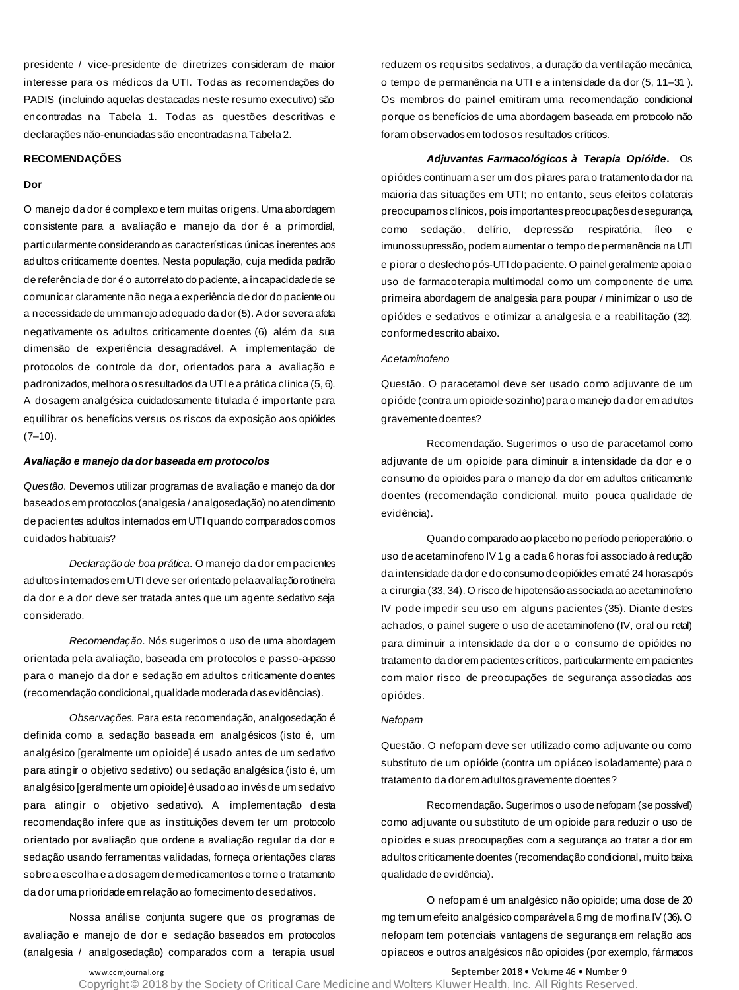presidente / vice-presidente de diretrizes consideram de maior interesse para os médicos da UTI. Todas as recomendações do PADIS (incluindo aquelas destacadas neste resumo executivo) são encontradas na Tabela 1. Todas as questões descritivas e declarações não-enunciadas são encontradas na Tabela 2.

#### **RECOMENDAÇÕES**

### **Dor**

O manejo da dor é complexo e tem muitas origens. Uma abordagem consistente para a avaliação e manejo da dor é a primordial, particularmente considerando as características únicas inerentes aos adultos criticamente doentes. Nesta população, cuja medida padrão de referência de dor é o autorrelato do paciente, a incapacidade de se comunicar claramente não nega a experiência de dor do paciente ou a necessidade de um manejo adequado da dor (5). A dor severa afeta negativamente os adultos criticamente doentes (6) além da sua dimensão de experiência desagradável. A implementação de protocolos de controle da dor, orientados para a avaliação e padronizados, melhora os resultados da UTI e a prática clínica (5, 6). A dosagem analgésica cuidadosamente titulada é importante para equilibrar os benefícios versus os riscos da exposição aos opióides  $(7-10)$ .

### *Avaliação e manejo da dor baseada em protocolos*

*Questão*. Devemos utilizar programas de avaliação e manejo da dor baseados em protocolos (analgesia / analgosedação) no atendimento de pacientes adultos internados em UTI quando comparados com os cuidados habituais?

*Declaração de boa prática*. O manejo da dor em pacientes adultos internados em UTI deve ser orientado pela avaliação rotineira da dor e a dor deve ser tratada antes que um agente sedativo seja considerado.

*Recomendação*. Nós sugerimos o uso de uma abordagem orientada pela avaliação, baseada em protocolos e passo-a-passo para o manejo da dor e sedação em adultos criticamente doentes (recomendação condicional, qualidade moderada das evidências).

*Observações.* Para esta recomendação, analgosedação é definida como a sedação baseada em analgésicos (isto é, um analgésico [geralmente um opioide] é usado antes de um sedativo para atingir o objetivo sedativo) ou sedação analgésica (isto é, um analgésico [geralmente um opioide] é usado ao invés de um sedativo para atingir o objetivo sedativo). A implementação desta recomendação infere que as instituições devem ter um protocolo orientado por avaliação que ordene a avaliação regular da dor e sedação usando ferramentas validadas, forneça orientações claras sobre a escolha e a dosagem de medicamentos e torne o tratamento da dor uma prioridade em relação ao fornecimento de sedativos.

Nossa análise conjunta sugere que os programas de avaliação e manejo de dor e sedação baseados em protocolos (analgesia / analgosedação) comparados com a terapia usual

reduzem os requisitos sedativos, a duração da ventilação mecânica, o tempo de permanência na UTI e a intensidade da dor (5, 11–31 ). Os membros do painel emitiram uma recomendação condicional porque os benefícios de uma abordagem baseada em protocolo não foram observados em todos os resultados críticos.

*Adjuvantes Farmacológicos à Terapia Opióide***.** Os opióides continuam a ser um dos pilares para o tratamento da dor na maioria das situações em UTI; no entanto, seus efeitos colaterais preocupam os clínicos, pois importantes preocupações de segurança, como sedação, delírio, depressão respiratória, íleo e imunossupressão, podem aumentar o tempo de permanência na UTI e piorar o desfecho pós-UTI do paciente. O painel geralmente apoia o uso de farmacoterapia multimodal como um componente de uma primeira abordagem de analgesia para poupar / minimizar o uso de opióides e sedativos e otimizar a analgesia e a reabilitação (32), conforme descrito abaixo.

### *Acetaminofeno*

Questão. O paracetamol deve ser usado como adjuvante de um opióide (contra um opioide sozinho) para o manejo da dor em adultos gravemente doentes?

Recomendação. Sugerimos o uso de paracetamol como adjuvante de um opioide para diminuir a intensidade da dor e o consumo de opioides para o manejo da dor em adultos criticamente doentes (recomendação condicional, muito pouca qualidade de evidência).

Quando comparado ao placebo no período perioperatório, o uso de acetaminofeno IV 1 g a cada 6 horas foi associado à redução da intensidade da dor e do consumo de opióides em até 24 horas após a cirurgia (33, 34). O risco de hipotensão associada ao acetaminofeno IV pode impedir seu uso em alguns pacientes (35). Diante d estes achados, o painel sugere o uso de acetaminofeno (IV, oral ou retal) para diminuir a intensidade da dor e o consumo de opióides no tratamento da dor em pacientes críticos, particularmente em pacientes com maior risco de preocupações de segurança associadas aos opióides.

### *Nefopam*

Questão. O nefopam deve ser utilizado como adjuvante ou como substituto de um opióide (contra um opiáceo isoladamente) para o tratamento da dor em adultos gravemente doentes?

Recomendação. Sugerimos o uso de nefopam (se possível) como adjuvante ou substituto de um opioide para reduzir o uso de opioides e suas preocupações com a segurança ao tratar a dor em adultos criticamente doentes (recomendação condicional, muito baixa qualidade de evidência).

O nefopam é um analgésico não opioide; uma dose de 20 mg tem um efeito analgésico comparável a 6 mg de morfina IV (36). O nefopam tem potenciais vantagens de segurança em relação aos opiaceos e outros analgésicos não opioides (por exemplo, fármacos

www.cc mjournal.org example and the separate of the September 2018 • Volume 46 • Number 9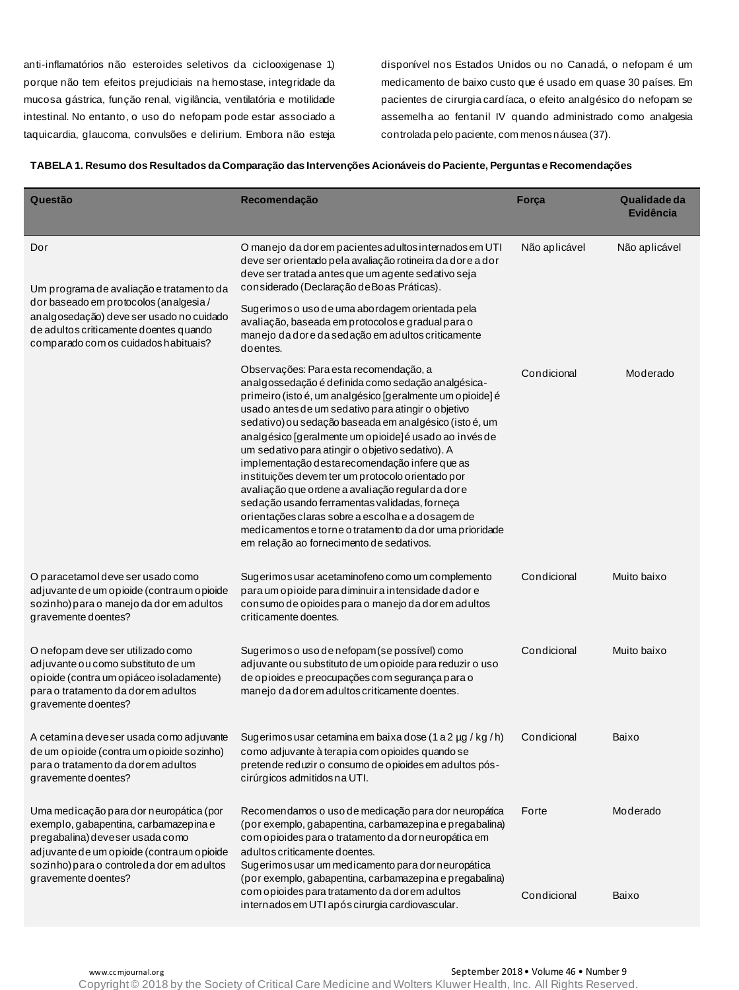anti-inflamatórios não esteroides seletivos da ciclooxigenase 1) porque não tem efeitos prejudiciais na hemostase, integridade da mucosa gástrica, função renal, vigilância, ventilatória e motilidade intestinal. No entanto, o uso do nefopam pode estar associado a taquicardia, glaucoma, convulsões e delirium. Embora não esteja disponível nos Estados Unidos ou no Canadá, o nefopam é um medicamento de baixo custo que é usado em quase 30 países. Em pacientes de cirurgia cardíaca, o efeito analgésico do nefopam se assemelha ao fentanil IV quando administrado como analgesia controlada pelo paciente, com menos náusea (37).

| Questão                                                                                                                                                                                                                              | Recomendação                                                                                                                                                                                                                                                                                                                                                                                                                                                                                                                                                                                                                                                                                                                                                     | Força         | Qualidade da<br><b>Evidência</b> |
|--------------------------------------------------------------------------------------------------------------------------------------------------------------------------------------------------------------------------------------|------------------------------------------------------------------------------------------------------------------------------------------------------------------------------------------------------------------------------------------------------------------------------------------------------------------------------------------------------------------------------------------------------------------------------------------------------------------------------------------------------------------------------------------------------------------------------------------------------------------------------------------------------------------------------------------------------------------------------------------------------------------|---------------|----------------------------------|
| Dor<br>Um programa de avaliação e tratamento da<br>dor baseado em protocolos (analgesia/<br>analgosedação) deve ser usado no cuidado<br>de adultos criticamente doentes quando<br>comparado com os cuidados habituais?               | O manejo da dorem pacientes adultos internados em UTI<br>deve ser orientado pela avaliação rotineira da dore a dor<br>deve ser tratada antes que um agente sedativo seja<br>considerado (Declaração de Boas Práticas).                                                                                                                                                                                                                                                                                                                                                                                                                                                                                                                                           | Não aplicável | Não aplicável                    |
|                                                                                                                                                                                                                                      | Sugerimoso uso de uma abordagem orientada pela<br>avaliação, baseada em protocolos e gradual para o<br>manejo da dore da sedação em adultos criticamente<br>doentes.                                                                                                                                                                                                                                                                                                                                                                                                                                                                                                                                                                                             |               |                                  |
|                                                                                                                                                                                                                                      | Observações: Para esta recomendação, a<br>analgossedação é definida como sedação analgésica-<br>primeiro (isto é, um analgésico [geralmente um opioide] é<br>usado antes de um sedativo para atingir o objetivo<br>sedativo) ou sedação baseada em analgésico (isto é, um<br>analgésico [geralmente um opioide] é usado ao invés de<br>um sedativo para atingir o objetivo sedativo). A<br>implementação desta recomendação infere que as<br>instituições devem ter um protocolo o rientado por<br>avaliação que ordene a avaliação regular da dore<br>sedação usando ferramentas validadas, forneça<br>orientações claras sobre a escolha e a dosagem de<br>medicamentos e torne o tratamento da dor uma prioridade<br>em relação ao fornecimento de sedativos. | Condicional   | Moderado                         |
| O paracetamol deve ser usado como<br>adjuvante de um opioide (contraum opioide<br>sozinho) para o manejo da dor em adultos<br>gravemente doentes?                                                                                    | Sugerimos usar acetaminofeno como um complemento<br>para um opioide para diminuir a intensidade dador e<br>consumo de opioides para o manejo da dor em adultos<br>criticamente doentes.                                                                                                                                                                                                                                                                                                                                                                                                                                                                                                                                                                          | Condicional   | Muito baixo                      |
| O nefopam deve ser utilizado como<br>adjuvante ou como substituto de um<br>opioide (contra um opiáceo isoladamente)<br>para o tratamento da dor em adultos<br>gravemente doentes?                                                    | Sugerimoso uso de nefopam (se possível) como<br>adjuvante ou substituto de um opioide para reduzir o uso<br>de opioides e preocupações com segurança para o<br>manejo da dorem adultos criticamente doentes.                                                                                                                                                                                                                                                                                                                                                                                                                                                                                                                                                     | Condicional   | Muito baixo                      |
| A cetamina deveser usada como adjuvante<br>de um opioide (contra um opioide sozinho)<br>para o tratamento da dor em adultos<br>gravemente doentes?                                                                                   | Sugerimos usar cetamina em baixa dose (1 a 2 µg / kg / h)<br>como adjuvante à terapia com opioides quando se<br>pretende reduzir o consumo de opioides em adultos pós-<br>cirúrgicos admitidos na UTI.                                                                                                                                                                                                                                                                                                                                                                                                                                                                                                                                                           | Condicional   | Baixo                            |
| Uma medicação para dor neuropática (por<br>exemplo, gabapentina, carbamazepina e<br>pregabalina) deveser usada como<br>adjuvante de um opioide (contraum opioide<br>sozinho) para o controleda dor em adultos<br>gravemente doentes? | Recomendamos o uso de medicação para dor neuropática<br>(por exemplo, gabapentina, carbamazepina e pregabalina)<br>com opioides para o tratamento da dor neuropática em<br>adultos criticamente doentes.<br>Sugerimos usar um medicamento para dor neuropática<br>(por exemplo, gabapentina, carbamazepina e pregabalina)                                                                                                                                                                                                                                                                                                                                                                                                                                        | Forte         | Moderado                         |
|                                                                                                                                                                                                                                      | com opioides para tratamento da dor em adultos<br>internados em UTI após cirurgia cardiovascular.                                                                                                                                                                                                                                                                                                                                                                                                                                                                                                                                                                                                                                                                | Condicional   | Baixo                            |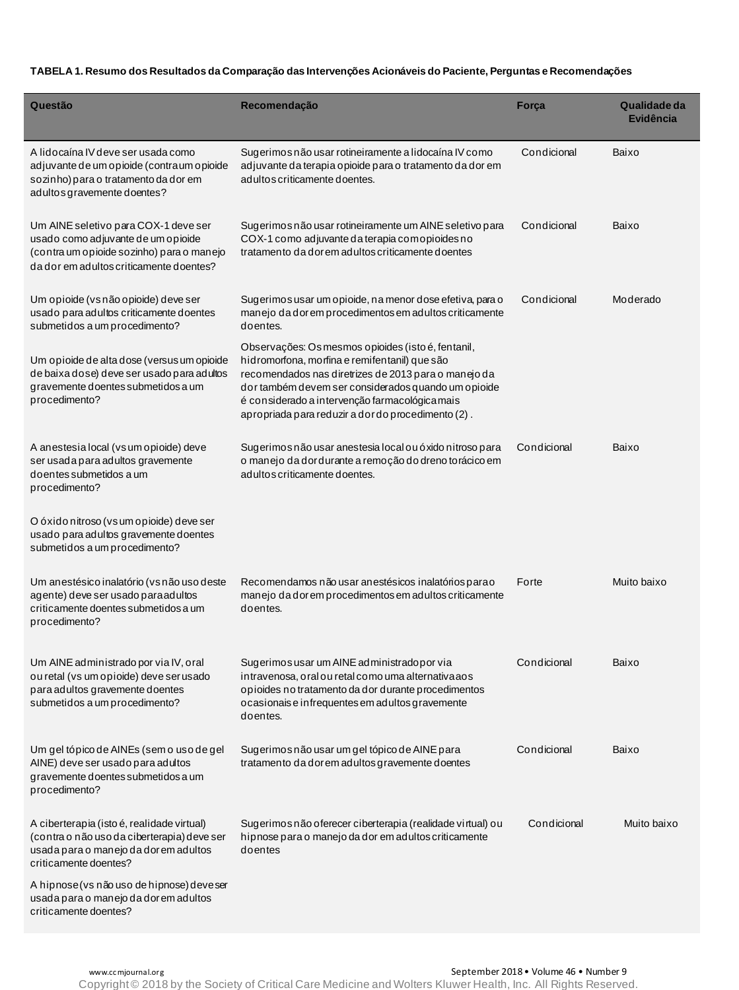| Questão                                                                                                                                                            | Recomendação                                                                                                                                                                                                                                                                                                               | Força       | Qualidade da<br><b>Evidência</b> |
|--------------------------------------------------------------------------------------------------------------------------------------------------------------------|----------------------------------------------------------------------------------------------------------------------------------------------------------------------------------------------------------------------------------------------------------------------------------------------------------------------------|-------------|----------------------------------|
| A lidocaína IV deve ser usada como<br>adjuvante de um opioide (contraum opioide<br>sozinho) para o tratamento da dor em<br>adultos gravemente doentes?             | Sugerimos não usar rotineiramente a lidocaína IV como<br>adjuvante da terapia opioide para o tratamento da dor em<br>adultos criticamente doentes.                                                                                                                                                                         | Condicional | Baixo                            |
| Um AINE seletivo para COX-1 deve ser<br>usado como adjuvante de um opioide<br>(contra um opioide sozinho) para o manejo<br>da dor em adultos criticamente doentes? | Sugerimos não usar rotineiramente um AINE seletivo para<br>COX-1 como adjuvante da terapia comopioides no<br>tratamento da dor em adultos criticamente doentes                                                                                                                                                             | Condicional | Baixo                            |
| Um opioide (vs não opioide) deve ser<br>usado para adultos criticamente doentes<br>submetidos a um procedimento?                                                   | Sugerimos usar um opioide, na menor dose efetiva, para o<br>manejo da dor em procedimentos em adultos criticamente<br>doentes.                                                                                                                                                                                             | Condicional | Moderado                         |
| Um opioide de alta dose (versus um opioide<br>de baixa dose) deve ser usado para adultos<br>gravemente doentes submetidos a um<br>procedimento?                    | Observações: Os mesmos opioides (isto é, fentanil,<br>hidromorfona, morfina e remifentanil) que são<br>recomendados nas diretrizes de 2013 para o manejo da<br>dor também devem ser considerados quando um opioide<br>é considerado a intervenção farmacológica mais<br>apropriada para reduzir a dor do procedimento (2). |             |                                  |
| A anestesia local (vs um opioide) deve<br>ser usada para adultos gravemente<br>do entes submetidos a um<br>procedimento?                                           | Sugerimos não usar anestesia local o u ó xido nitroso para<br>o manejo da dordurante a remoção do dreno torácico em<br>adultos criticamente doentes.                                                                                                                                                                       | Condicional | Baixo                            |
| O óxido nitroso (vs um opioide) deve ser<br>usado para adultos gravemente doentes<br>submetidos a um procedimento?                                                 |                                                                                                                                                                                                                                                                                                                            |             |                                  |
| Um anestésico inalatório (vs não uso deste<br>agente) deve ser usado paraadultos<br>criticamente doentes submetidos a um<br>procedimento?                          | Recomendamos não usar anestésicos inalatórios parao<br>manejo da dor em procedimentos em adultos criticamente<br>doentes.                                                                                                                                                                                                  | Forte       | Muito baixo                      |
| Um AINE administrado por via IV, oral<br>ou retal (vs um opioide) deve ser usado<br>para adultos gravemente doentes<br>submetidos a um procedimento?               | Sugerimos usar um AINE administradopor via<br>intravenosa, oral ou retal como uma alternativa aos<br>opioides no tratamento da dor durante procedimentos<br>ocasionais e infrequentes em adultos gravemente<br>doentes.                                                                                                    | Condicional | Baixo                            |
| Um gel tópico de AINEs (sem o uso de gel<br>AINE) deve ser usado para adultos<br>gravemente doentes submetidos a um<br>procedimento?                               | Sugerimos não usar um gel tópico de AINE para<br>tratamento da dor em adultos gravemente doentes                                                                                                                                                                                                                           | Condicional | Baixo                            |
| A ciberterapia (isto é, realidade virtual)<br>(contra o não uso da ciberterapia) deve ser<br>usada para o manejo da dorem adultos<br>criticamente doentes?         | Sugerimos não oferecer ciberterapia (realidade virtual) ou<br>hipnose para o manejo da dor em adultos criticamente<br>doentes                                                                                                                                                                                              | Condicional | Muito baixo                      |
| A hipnose (vs não uso de hipnose) deveser<br>usada para o manejo da dorem adultos<br>criticamente doentes?                                                         |                                                                                                                                                                                                                                                                                                                            |             |                                  |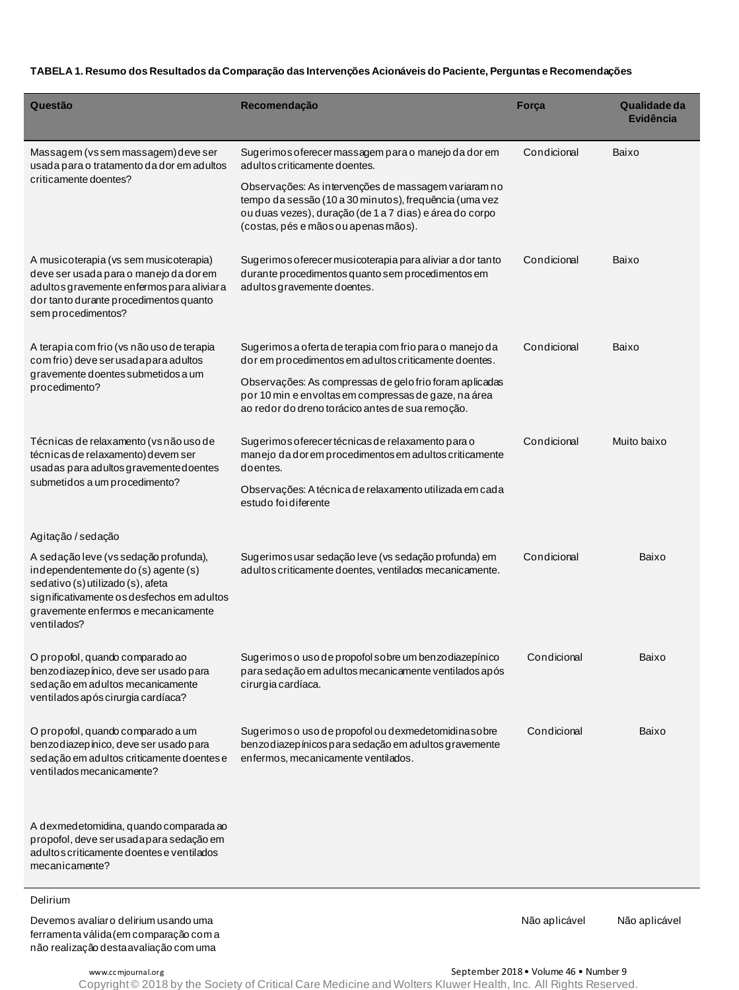| Questão                                                                                                                                                                                                               | Recomendação                                                                                                                                                                                                      | Força       | Qualidade da<br><b>Evidência</b> |
|-----------------------------------------------------------------------------------------------------------------------------------------------------------------------------------------------------------------------|-------------------------------------------------------------------------------------------------------------------------------------------------------------------------------------------------------------------|-------------|----------------------------------|
| Massagem (vssem massagem) deve ser<br>usada para o tratamento da dor em adultos<br>criticamente doentes?                                                                                                              | Sugerimos oferecer massagem para o manejo da dor em<br>adultos criticamente doentes.                                                                                                                              | Condicional | Baixo                            |
|                                                                                                                                                                                                                       | Observações: As intervenções de massagem variaram no<br>tempo da sessão (10 a 30 minutos), frequência (uma vez<br>ou duas vezes), duração (de 1 a 7 dias) e área do corpo<br>(costas, pés e mãos ou apenas mãos). |             |                                  |
| A musicoterapia (vs sem musicoterapia)<br>deve ser usada para o manejo da dorem<br>adultos gravemente enfermos para aliviara<br>dor tanto durante procedimentos quanto<br>sem procedimentos?                          | Sugerimos oferecer musicoterapia para aliviar a dor tanto<br>durante procedimentos quanto sem procedimentos em<br>adultos gravemente doentes.                                                                     | Condicional | Baixo                            |
| A terapia com frio (vs não uso de terapia<br>com frio) deve ser usada para adultos                                                                                                                                    | Sugerimos a oferta de terapia com frio para o manejo da<br>dor em procedimentos em adultos criticamente doentes.                                                                                                  | Condicional | Baixo                            |
| gravemente doentes submetidos a um<br>procedimento?                                                                                                                                                                   | Observações: As compressas de gelo frio foram aplicadas<br>por 10 min e envoltas em compressas de gaze, na área<br>ao redor do dreno torácico antes de sua remoção.                                               |             |                                  |
| Técnicas de relaxamento (vs não uso de<br>técnicas de relaxamento) devem ser<br>usadas para adultos gravemente doentes                                                                                                | Sugerimos oferecer técnicas de relaxamento para o<br>manejo da dor em procedimentos em adultos criticamente<br>doentes.                                                                                           | Condicional | Muito baixo                      |
| submetidos a um procedimento?                                                                                                                                                                                         | Observações: A técnica de relaxamento utilizada em cada<br>estudo foi diferente                                                                                                                                   |             |                                  |
| Agitação / sedação                                                                                                                                                                                                    |                                                                                                                                                                                                                   |             |                                  |
| A sedação leve (vs sedação profunda),<br>independentemente do (s) agente (s)<br>sedativo (s) utilizado (s), afeta<br>significativamente os desfechos em adultos<br>gravemente enfermos e mecanicamente<br>ventilados? | Sugerimos usar sedação leve (vs sedação profunda) em<br>adultos criticamente doentes, ventilados mecanicamente.                                                                                                   | Condicional | Baixo                            |
| O propofol, quando comparado ao<br>benzodiazepínico, deve ser usado para<br>sedação em adultos mecanicamente<br>ventilados após cirurgia cardíaca?                                                                    | Sugerimoso uso de propofol sobre um benzo diazepínico<br>para sedação em adultos mecanicamente ventilados após<br>cirurgia cardíaca.                                                                              | Condicional | Baixo                            |
| O propofol, quando comparado a um<br>benzodiazepínico, deve ser usado para<br>sedação em adultos criticamente doentes e<br>ventilados mecanicamente?                                                                  | Sugerimoso uso de propofolou dexmedetomidinasobre<br>benzodiazep ínicos para sedação em adultos gravemente<br>enfermos, mecanicamente ventilados.                                                                 | Condicional | Baixo                            |
| A dexmedetomidina, quando comparada ao<br>propofol, deve ser usada para sedação em<br>adultos criticamente doentes e ventilados<br>mecanicamente?                                                                     |                                                                                                                                                                                                                   |             |                                  |
| Delirium                                                                                                                                                                                                              |                                                                                                                                                                                                                   |             |                                  |

Devemos avaliar o delirium usando uma ferramenta válida (em comparação com a não realização desta avaliação com uma

Não aplicável Não aplicável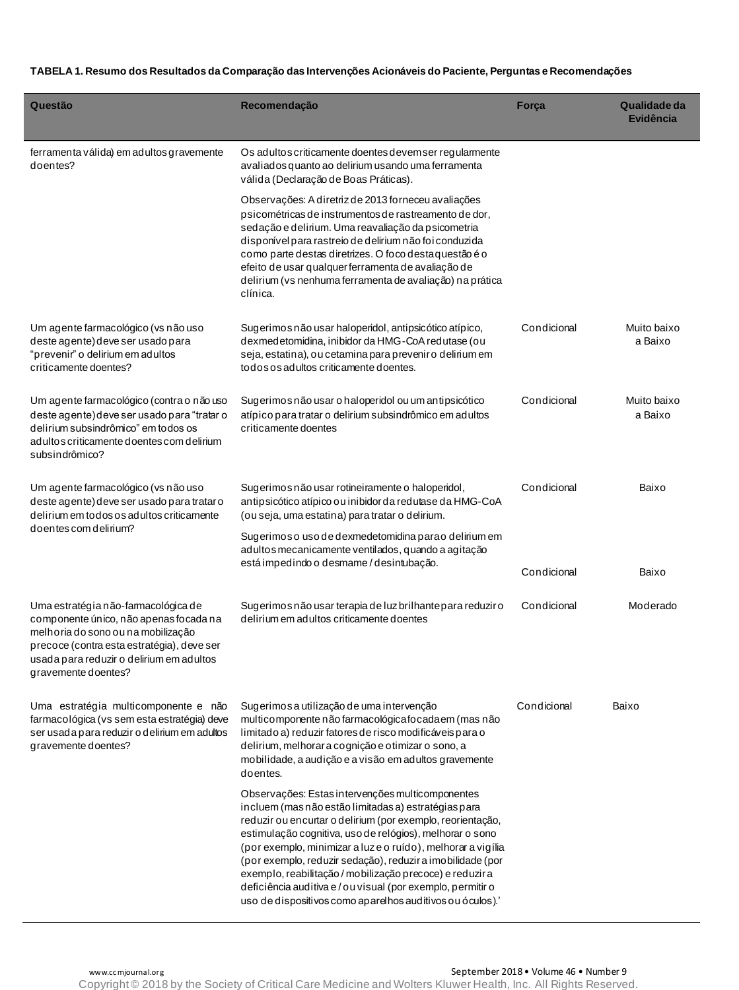| Questão                                                                                                                                                                                                                              | Recomendação                                                                                                                                                                                                                                                                                                                                                                                                                                                                                                                                            | Força       | Qualidade da<br><b>Evidência</b> |
|--------------------------------------------------------------------------------------------------------------------------------------------------------------------------------------------------------------------------------------|---------------------------------------------------------------------------------------------------------------------------------------------------------------------------------------------------------------------------------------------------------------------------------------------------------------------------------------------------------------------------------------------------------------------------------------------------------------------------------------------------------------------------------------------------------|-------------|----------------------------------|
| ferramenta válida) em adultos gravemente<br>doentes?                                                                                                                                                                                 | Os adultos criticamente doentes devemser regulamente<br>avaliados quanto ao delirium usando uma ferramenta<br>válida (Declaração de Boas Práticas).                                                                                                                                                                                                                                                                                                                                                                                                     |             |                                  |
|                                                                                                                                                                                                                                      | Observações: A diretriz de 2013 forneceu avaliações<br>psicométricas de instrumentos de rastreamento de dor,<br>sedação e delirium. Uma reavaliação da psicometria<br>disponível para rastreio de delirium não foi conduzida<br>como parte destas diretrizes. O foco destaquestão é o<br>efeito de usar qualquer ferramenta de avaliação de<br>delirium (vs nenhuma ferramenta de avaliação) na prática<br>clínica.                                                                                                                                     |             |                                  |
| Um agente farmacológico (vs não uso<br>deste agente) deve ser usado para<br>"prevenir" o delirium em adultos<br>criticamente doentes?                                                                                                | Sugerimos não usar haloperidol, antipsicótico atípico,<br>dexmedetomidina, inibidor da HMG-CoA redutase (ou<br>seja, estatina), ou cetamina para preveniro delirium em<br>todos os adultos criticamente doentes.                                                                                                                                                                                                                                                                                                                                        | Condicional | Muito baixo<br>a Baixo           |
| Um agente farmacológico (contra o não uso<br>deste agente) deve ser usado para "tratar o<br>delirium subsindrômico" em todos os<br>adultos criticamente doentes com delinum<br>subsindrômico?                                        | Sugerimos não usar o haloperidol ou um antipsicótico<br>atípico para tratar o delirium subsindrômico em adultos<br>criticamente doentes                                                                                                                                                                                                                                                                                                                                                                                                                 | Condicional | Muito baixo<br>a Baixo           |
| Um agente farmacológico (vs não uso<br>deste agente) deve ser usado para trataro<br>delirium em todos os adultos criticamente<br>doentes com delirium?                                                                               | Sugerimos não usar rotineiramente o haloperidol,<br>antipsicótico atípico ou inibidor da redutase da HMG-CoA<br>(ou seja, uma estatina) para tratar o delirium.                                                                                                                                                                                                                                                                                                                                                                                         | Condicional | Baixo                            |
|                                                                                                                                                                                                                                      | Sugerimoso uso de dexmedetomidina parao delirium em<br>adultos mecanicamente ventilados, quando a agitação<br>está impedindo o desmame / desintubação.                                                                                                                                                                                                                                                                                                                                                                                                  | Condicional | Baixo                            |
| Uma estratégia não-farmacológica de<br>componente único, não apenas focada na<br>melhoria do sono ou na mobilização<br>precoce (contra esta estratégia), deve ser<br>usada para reduzir o delirium em adultos<br>gravemente doentes? | Sugerimos não usar terapia de luz brilhante para reduziro<br>delirium em adultos criticamente doentes                                                                                                                                                                                                                                                                                                                                                                                                                                                   | Condicional | Moderado                         |
| Uma estratégia multicomponente e não<br>farmacológica (vs sem esta estratégia) deve<br>ser usada para reduzir o delirium em adultos<br>gravemente doentes?                                                                           | Sugerimos a utilização de uma intervenção<br>multicomponente não farmacológica focada em (mas não<br>limitado a) reduzir fatores de risco modificáveis para o<br>delirium, melhorar a cognição e otimizar o sono, a<br>mobilidade, a audição e a visão em adultos gravemente<br>doentes.                                                                                                                                                                                                                                                                | Condicional | Baixo                            |
|                                                                                                                                                                                                                                      | Observações: Estas intervenções multicomponentes<br>incluem (mas não estão limitadas a) estratégias para<br>reduzir ou encurtar o delirium (por exemplo, reorientação,<br>estimulação cognitiva, uso de relógios), melhorar o sono<br>(por exemplo, minimizar a luz e o ruído), melhorar a vigília<br>(por exemplo, reduzir sedação), reduzir a imobilidade (por<br>exemplo, reabilitação / mobilização precoce) e reduzira<br>deficiência auditiva e / ou visual (por exemplo, permitir o<br>uso de dispositivos como aparelhos auditivos ou óculos).' |             |                                  |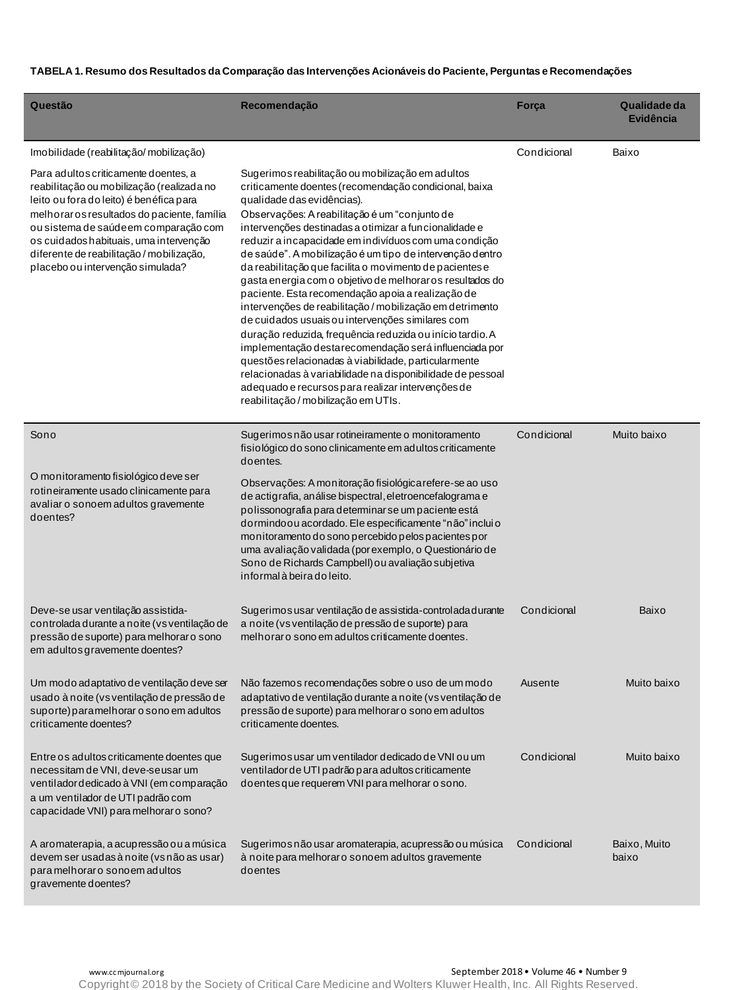| Questão                                                                                                                                                                                                                                                                                                                                       | Recomendação                                                                                                                                                                                                                                                                                                                                                                                                                                                                                                                                                                                                                                                                                                                                                                                                                                                                                                                                                                                                | Força       | Qualidade da<br><b>Evidência</b> |
|-----------------------------------------------------------------------------------------------------------------------------------------------------------------------------------------------------------------------------------------------------------------------------------------------------------------------------------------------|-------------------------------------------------------------------------------------------------------------------------------------------------------------------------------------------------------------------------------------------------------------------------------------------------------------------------------------------------------------------------------------------------------------------------------------------------------------------------------------------------------------------------------------------------------------------------------------------------------------------------------------------------------------------------------------------------------------------------------------------------------------------------------------------------------------------------------------------------------------------------------------------------------------------------------------------------------------------------------------------------------------|-------------|----------------------------------|
| Imobilidade (reabilitação/mobilização)                                                                                                                                                                                                                                                                                                        |                                                                                                                                                                                                                                                                                                                                                                                                                                                                                                                                                                                                                                                                                                                                                                                                                                                                                                                                                                                                             | Condicional | Baixo                            |
| Para adultos criticamente doentes, a<br>reabilitação ou mobilização (realizada no<br>leito ou fora do leito) é benéfica para<br>melhoraros resultados do paciente, família<br>ou sistema de saúde em comparação com<br>os cuidados habituais, uma intervenção<br>diferente de reabilitação / mobilização,<br>placebo ou intervenção simulada? | Sugerimos reabilitação ou mobilização em adultos<br>criticamente doentes (recomendação condicional, baixa<br>qualidade das evidências).<br>Observações: A reabilitação é um "conjunto de<br>intervenções destinadas a otimizar a funcionalidade e<br>reduzir a incapacidade em indivíduos com uma condição<br>de saúde". A mobilização é um tipo de intervenção dentro<br>da reabilitação que facilita o movimento de pacientes e<br>gasta energia com o objetivo de melhoraros resultados do<br>paciente. Esta recomendação apoia a realização de<br>intervenções de reabilitação / mobilização em detrimento<br>de cuidados usuais ou intervenções similares com<br>duração reduzida, frequência reduzida ou início tardio. A<br>implementação desta recomendação será influenciada por<br>questões relacionadas à viabilidade, particularmente<br>relacionadas à variabilidade na disponibilidade de pessoal<br>adequado e recursos para realizar intervenções de<br>reabilitação / mobilização em UTIs. |             |                                  |
| Sono                                                                                                                                                                                                                                                                                                                                          | Sugerimos não usar rotineiramente o monitoramento<br>fisiológico do sono clinicamente em adultos criticamente<br>doentes.                                                                                                                                                                                                                                                                                                                                                                                                                                                                                                                                                                                                                                                                                                                                                                                                                                                                                   | Condicional | Muito baixo                      |
| O monitoramento fisiológico deve ser<br>rotineiramente usado clinicamente para<br>avaliar o sonoem adultos gravemente<br>doentes?                                                                                                                                                                                                             | Observações: A monitoração fisiológica refere-se ao uso<br>de actigrafia, an álise bispectral, eletroencefalograma e<br>polissonografia para determinar se um paciente está<br>dormindoou acordado. Ele especificamente "não" inclui o<br>monitoramento do sono percebido pelos pacientes por<br>uma avaliação validada (por exemplo, o Questionário de<br>Sono de Richards Campbell) ou avaliação subjetiva<br>informal à beira do leito.                                                                                                                                                                                                                                                                                                                                                                                                                                                                                                                                                                  |             |                                  |
| Deve-se usar ventilação assistida-<br>controlada durante a noite (vs ventilação de<br>pressão de suporte) para melhorar o sono<br>em adultos gravemente doentes?                                                                                                                                                                              | Sugerimos usar ventilação de assistida-controlada durante<br>a noite (vs ventilação de pressão de suporte) para<br>melhoraro sono em adultos criticamente doentes.                                                                                                                                                                                                                                                                                                                                                                                                                                                                                                                                                                                                                                                                                                                                                                                                                                          | Condicional | Baixo                            |
| Um modo adaptativo de ventilação deve ser<br>usado à noite (vs ventilação de pressão de<br>suporte) paramelhorar o sono em adultos<br>criticamente doentes?                                                                                                                                                                                   | Não fazemos recomendações sobre o uso de um modo<br>adaptativo de ventilação durante a noite (vs ventilação de<br>pressão de suporte) para melhorar o sono em adultos<br>criticamente doentes.                                                                                                                                                                                                                                                                                                                                                                                                                                                                                                                                                                                                                                                                                                                                                                                                              | Ausente     | Muito baixo                      |
| Entre os adultos criticamente doentes que<br>necessitam de VNI, deve-seusar um<br>ventilador dedicado à VNI (em comparação<br>a um ventilador de UTI padrão com<br>capacidade VNI) para melhorar o sono?                                                                                                                                      | Sugerimos usar um ventilador dedicado de VNI ou um<br>ventilador de UTI padrão para adultos criticamente<br>doentes que requerem VNI para melhorar o sono.                                                                                                                                                                                                                                                                                                                                                                                                                                                                                                                                                                                                                                                                                                                                                                                                                                                  | Condicional | Muito baixo                      |
| A aromaterapia, a acupressão ou a música<br>devem ser usadas à noite (vs não as usar)<br>para melhoraro sonoem adultos<br>gravemente doentes?                                                                                                                                                                                                 | Sugerimos não usar aromaterapia, acupressão ou música<br>à noite para melhoraro sonoem adultos gravemente<br>doentes                                                                                                                                                                                                                                                                                                                                                                                                                                                                                                                                                                                                                                                                                                                                                                                                                                                                                        | Condicional | Baixo, Muito<br>baixo            |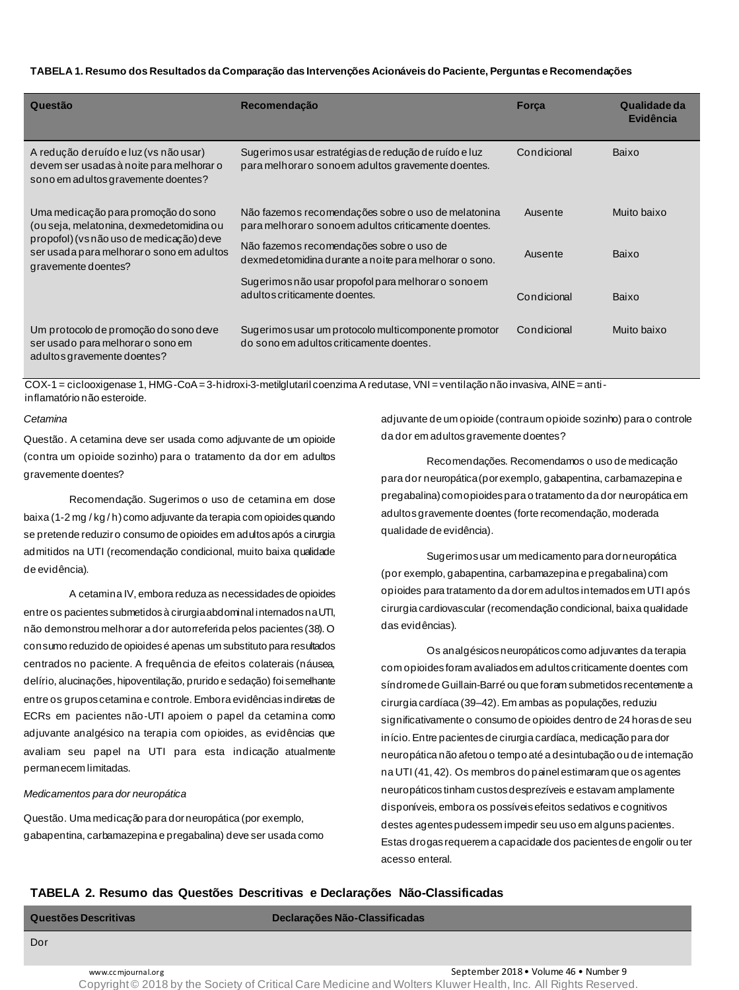| Questão                                                                                                                                                                                        | Recomendação                                                                                                | <b>Forca</b> | Qualidade da<br>Evidência |
|------------------------------------------------------------------------------------------------------------------------------------------------------------------------------------------------|-------------------------------------------------------------------------------------------------------------|--------------|---------------------------|
| A redução deruído e luz (vs não usar)<br>devem ser usadas à noite para melhorar o<br>sono em adultos gravemente doentes?                                                                       | Sugerimos usar estratégias de redução de ruído e luz<br>para melhoraro sono em adultos gravemente doentes.  | Condicional  | Baixo                     |
| Uma medicação para promoção do sono<br>(ou seja, melatonina, dexmedetomidina ou<br>propofol) (vs não uso de medicação) deve<br>ser usada para melhoraro sono em adultos<br>gravemente doentes? | Não fazemos recomendações sobre o uso de melatonina<br>para melhoraro sono em adultos criticamente doentes. | Ausente      | Muito baixo               |
|                                                                                                                                                                                                | Não fazemos recomendações sobre o uso de<br>dexmedetomidina durante a noite para melhorar o sono.           | Ausente      | Baixo                     |
|                                                                                                                                                                                                | Sugerimos não usar propofol para melhorar o sono em<br>adultos criticamente doentes.                        | Condicional  | Baixo                     |
| Um protocolo de promoção do sono deve<br>ser usado para melhoraro sono em<br>adultos gravemente doentes?                                                                                       | Sugerimos usar um protocolo multicomponente promotor<br>do sono em adultos criticamente doentes.            | Condicional  | Muito baixo               |

COX-1 = ciclooxigenase 1, HMG-CoA = 3-hidroxi-3-metilglutaril coenzima A redutase, VNI = ventilação não invasiva, AINE = antiinflamatório não esteroide.

#### *Cetamina*

Questão. A cetamina deve ser usada como adjuvante de um opioide (contra um opioide sozinho) para o tratamento da dor em adultos gravemente doentes?

Recomendação. Sugerimos o uso de cetamina em dose baixa (1-2 mg / kg / h) como adjuvante da terapia com opioides quando se pretende reduzir o consumo de opioides em adultos após a cirurgia admitidos na UTI (recomendação condicional, muito baixa qualidade de evidência).

A cetamina IV, embora reduza as necessidades de opioides entre os pacientes submetidos à cirurgia abdominal internados na UTI, não demonstrou melhorar a dor autorreferida pelos pacientes (38). O consumo reduzido de opioides é apenas um substituto para resultados centrados no paciente. A frequência de efeitos colaterais (náusea, delírio, alucinações, hipoventilação, prurido e sedação) foi semelhante entre os grupos cetamina e controle. Embora evidências indiretas de ECRs em pacientes não-UTI apoiem o papel da cetamina como adjuvante analgésico na terapia com opioides, as evidências que avaliam seu papel na UTI para esta indicação atualmente permanecem limitadas.

#### *Medicamentos para dor neuropática*

Questão*.* Uma medicação para dor neuropática (por exemplo, gabapentina, carbamazepina e pregabalina) deve ser usada como adjuvante de um opioide (contra um opioide sozinho) para o controle da dor em adultos gravemente doentes?

Recomendações*.* Recomendamos o uso de medicação para dor neuropática (por exemplo, gabapentina, carbamazepina e pregabalina) com opioides para o tratamento da dor neuropática em adultos gravemente doentes (forte recomendação, moderada qualidade de evidência).

Sugerimos usar um medicamento para dor neuropática (por exemplo, gabapentina, carbamazepina e pregabalina) com opioides para tratamento da dor em adultos internados em UTI após cirurgia cardiovascular (recomendação condicional, baixa qualidade das evidências).

Os analgésicos neuropáticos como adjuvantes da terapia com opioides foram avaliados em adultos criticamente doentes com síndrome de Guillain-Barré ou que foram submetidos recentemente a cirurgia cardíaca (39–42). Em ambas as populações, reduziu significativamente o consumo de opioides dentro de 24 horas de seu início. Entre pacientes de cirurgia cardíaca, medicação para dor neuropática não afetou o tempo até a desintubação ou de internação na UTI (41, 42). Os membros do painel estimaram que os agentes neuropáticos tinham custos desprezíveis e estavam amplamente disponíveis, embora os possíveis efeitos sedativos e cognitivos destes agentes pudessem impedir seu uso em alguns pacientes. Estas drogas requerem a capacidade dos pacientes de engolir ou ter acesso enteral.

## **TABELA 2. Resumo das Questões Descritivas e Declarações Não-Classificadas**

**Questões Descritivas Declarações Não-Classificadas**

www.cc mjournal.org September 2018 • Volume 46 • Number 9 Copyright © 2018 by the Society of Critical Care Medicine and Wolters Kluwer Health, Inc. All Rights Reserved.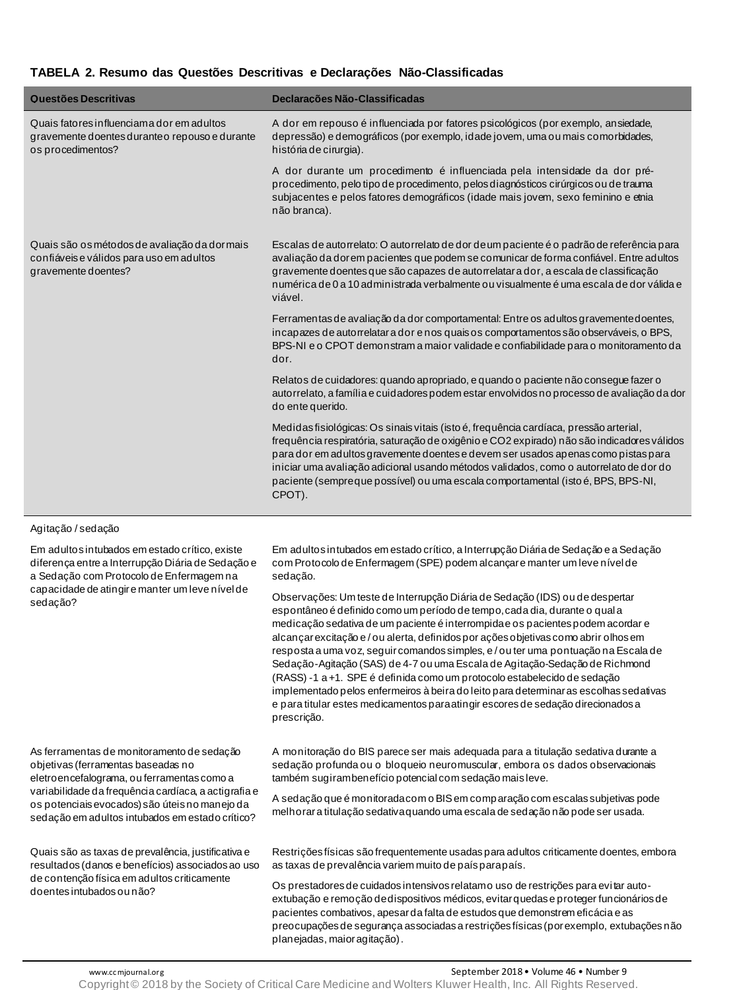# **TABELA 2. Resumo das Questões Descritivas e Declarações Não-Classificadas**

| Questões Descritivas                                                                                             | Declarações Não-Classificadas                                                                                                                                                                                                                                                                                                                                                                                                                                     |
|------------------------------------------------------------------------------------------------------------------|-------------------------------------------------------------------------------------------------------------------------------------------------------------------------------------------------------------------------------------------------------------------------------------------------------------------------------------------------------------------------------------------------------------------------------------------------------------------|
| Quais fatores influenciama dor em adultos<br>gravemente doentes durante o repouso e durante<br>os procedimentos? | A dor em repouso é influenciada por fatores psicológicos (por exemplo, ansiedade,<br>depressão) e demográficos (por exemplo, idade jovem, uma ou mais comorbidades,<br>história de cirurgia).                                                                                                                                                                                                                                                                     |
|                                                                                                                  | A dor durante um procedimento é influenciada pela intensidade da dor pré-<br>procedimento, pelo tipo de procedimento, pelos diagnósticos cirúrgicos ou de trauma<br>subjacentes e pelos fatores demográficos (idade mais jovem, sexo feminino e etnia<br>não branca).                                                                                                                                                                                             |
| Quais são os métodos de avaliação da dor mais<br>confiáveis e válidos para uso em adultos<br>gravemente doentes? | Escalas de autorrelato: O autorrelato de dor de um paciente é o padrão de referência para<br>avaliação da dorem pacientes que podem se comunicar de forma confiável. Entre adultos<br>gravemente doentes que são capazes de autorrelatar a dor, a escala de classificação<br>numérica de 0 a 10 administrada verbalmente ou visualmente é uma escala de dor válida e<br>viável.                                                                                   |
|                                                                                                                  | Ferramentas de avaliação da dor comportamental: Entre os adultos gravemente doentes,<br>incapazes de autorrelatar a dor e nos quaisos comportamentos são observáveis, o BPS,<br>BPS-NI e o CPOT demonstram a maior validade e confiabilidade para o monitoramento da<br>dor.                                                                                                                                                                                      |
|                                                                                                                  | Relatos de cuidadores: quando apropriado, e quando o paciente não consegue fazer o<br>autorrelato, a família e cuidadores podem estar envolvidos no processo de avaliação da dor<br>do ente querido.                                                                                                                                                                                                                                                              |
|                                                                                                                  | Medidas fisiológicas: Os sinais vitais (isto é, frequência cardíaca, pressão arterial,<br>frequência respiratória, saturação de oxigênio e CO2 expirado) não são indicadores válidos<br>para dor em adultos gravemente doentes e devem ser usados apenas como pistas para<br>iniciar uma avaliação adicional usando métodos validados, como o autorrelato de dor do<br>paciente (sempreque possível) ou uma escala comportamental (isto é, BPS, BPS-NI,<br>CPOT). |

### Agitação / sedação

Em adultos intubados em estado crítico, existe diferença entre a Interrupção Diária de Sedação e a Sedação com Protocolo de Enfermagem na capacidade de atingir e manter um leve nível de sedação?

As ferramentas de monitoramento de sedação objetivas (ferramentas baseadas no eletroencefalograma, ou ferramentas como a variabilidade da frequência cardíaca, a actigrafia e os potenciais evocados) são úteis no manejo da sedação em adultos intubados em estado crítico?

Quais são as taxas de prevalência, justificativa e resultados (danos e benefícios) associados ao uso de contenção física em adultos criticamente doentes intubados ou não?

Em adultos intubados em estado crítico, a Interrupção Diária de Sedação e a Sedação com Protocolo de Enfermagem (SPE) podem alcançar e manter um leve nível de sedação.

Observações: Um teste de Interrupção Diária de Sedação (IDS) ou de despertar espontâneo é definido como um período de tempo, cada dia, durante o qual a medicação sedativa de um paciente é interrompida e os pacientes podem acordar e alcançar excitação e / ou alerta, definidos por ações objetivas como abrir olhos em resposta a uma voz, seguir comandos simples, e / ou ter uma pontuação na Escala de Sedação-Agitação (SAS) de 4-7 ou uma Escala de Agitação-Sedação de Richmond (RASS) -1 a +1. SPE é definida como um protocolo estabelecido de sedação implementado pelos enfermeiros à beira do leito para determinar as escolhas sedativas e para titular estes medicamentos para atingir escores de sedação direcionados a prescrição.

A monitoração do BIS parece ser mais adequada para a titulação sedativa durante a sedação profunda ou o bloqueio neuromuscular, embora os dados observacionais também sugiram benefício potencial com sedação mais leve.

A sedação que é monitorada com o BIS em comparação com escalas subjetivas pode melhorar a titulação sedativa quando uma escala de sedação não pode ser usada.

Restrições físicas são frequentemente usadas para adultos criticamente doentes, embora as taxas de prevalência variem muito de país para país.

Os prestadores de cuidados intensivos relatamo uso de restrições para evitar autoextubação e remoção de dispositivos médicos, evitar quedas e proteger funcionários de pacientes combativos, apesar da falta de estudos que demonstrem eficácia e as preocupações de segurança associadas a restrições físicas (por exemplo, extubações não planejadas, maior agitação) .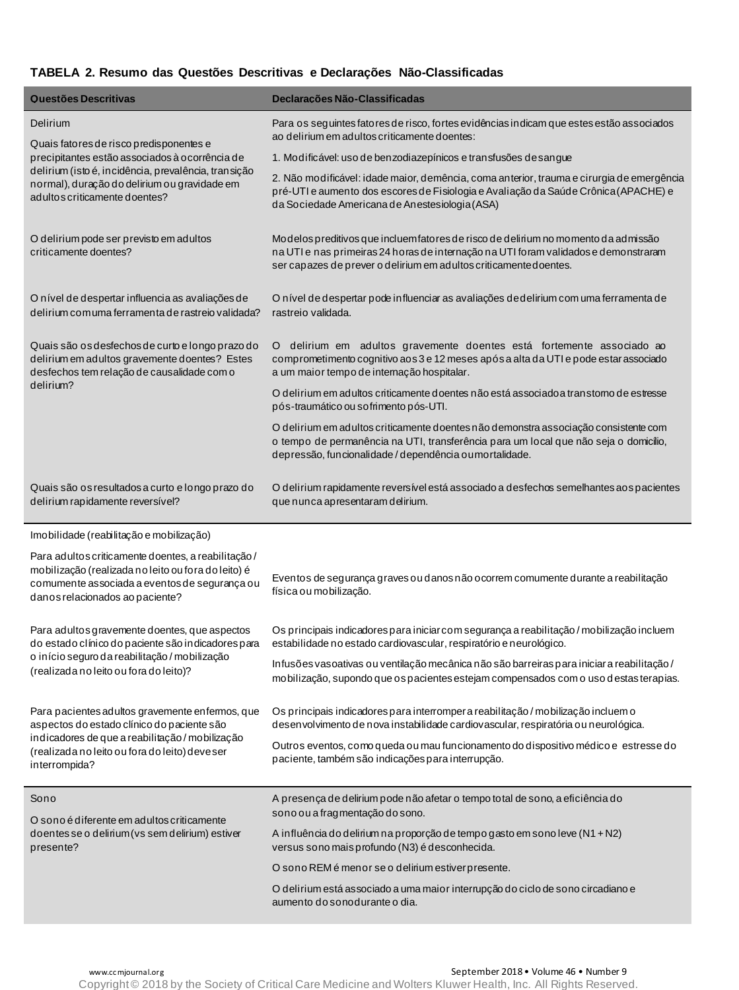# **TABELA 2. Resumo das Questões Descritivas e Declarações Não-Classificadas**

| Questões Descritivas                                                                                                                                                                           | Declarações Não-Classificadas                                                                                                                                                                                                                  |
|------------------------------------------------------------------------------------------------------------------------------------------------------------------------------------------------|------------------------------------------------------------------------------------------------------------------------------------------------------------------------------------------------------------------------------------------------|
| Delirium                                                                                                                                                                                       | Para os seguintes fatores de risco, fortes evidências indicam que estes estão associados<br>ao delirium em adultos criticamente doentes:                                                                                                       |
| Quais fatores de risco predisponentes e<br>precipitantes estão associados à ocorrência de                                                                                                      | 1. Modificável: uso de benzodiazepínicos e transfusões de sangue                                                                                                                                                                               |
| delirium (isto é, incidência, prevalência, transição<br>normal), duração do delirium ou gravidade em<br>adultos criticamente doentes?                                                          | 2. Não modificável: idade maior, demência, coma anterior, trauma e cirurgia de emergência<br>pré-UTI e aumento dos escores de Fisiologia e Avaliação da Saúde Crônica (APACHE) e<br>da Sociedade Americana de Anestesiologia (ASA)             |
| O delirium pode ser previsto em adultos<br>criticamente doentes?                                                                                                                               | Modelos preditivos que incluem fatores de risco de delirium no momento da admissão<br>na UTI e nas primeiras 24 horas de internação na UTI foram validados e demonstraram<br>ser capazes de prever o delirium em adultos criticamente doentes. |
| O nível de despertar influencia as avaliações de<br>delirium comuma ferramenta de rastreio validada?                                                                                           | O nível de despertar pode influenciar as avaliações de delirium com uma ferramenta de<br>rastreio validada.                                                                                                                                    |
| Quais são os desfechos de curto e longo prazo do<br>delirium em adultos gravemente doentes? Estes<br>desfechos tem relação de causalidade com o                                                | delirium em adultos gravemente doentes está fortemente associado ao<br>$\overline{O}$<br>comprometimento cognitivo aos 3 e 12 meses após a alta da UTI e pode estar associado<br>a um maior tempo de internação hospitalar.                    |
| delirium?                                                                                                                                                                                      | O delirium em adultos criticamente doentes não está associado a transtomo de estresse<br>pós-traumático ou sofrimento pós-UTI.                                                                                                                 |
|                                                                                                                                                                                                | O delirium em adultos criticamente doentes não demonstra associação consistente com<br>o tempo de permanência na UTI, transferência para um local que não seja o domicílio,<br>depressão, funcionalidade / dependência o umortalidade.         |
| Quais são os resultados a curto e longo prazo do<br>delirium rapidamente reversível?                                                                                                           | O delirium rapidamente reversível está associado a desfechos semelhantes aos pacientes<br>que nunca apresentaram delirium.                                                                                                                     |
| Imobilidade (reabilitação e mobilização)                                                                                                                                                       |                                                                                                                                                                                                                                                |
| Para adultos criticamente doentes, a reabilitação /<br>mobilização (realizada no leito ou fora do leito) é<br>comumente associada a eventos de segurança ou<br>danos relacionados ao paciente? | Eventos de segurança graves ou danos não ocorrem comumente durante a reabilitação<br>física ou mobilização.                                                                                                                                    |
| Para adultos gravemente doentes, que aspectos<br>do estado clínico do paciente são indicadores para                                                                                            | Os principais indicadores para iniciar com segurança a reabilitação / mobilização incluem<br>estabilidade no estado cardiovascular, respiratório e neurológico.                                                                                |
| o início seguro da reabilitação / mobilização<br>(realizada no leito ou fora do leito)?                                                                                                        | Infusões vasoativas ou ventilação mecânica não são barreiras para iniciara reabilitação /<br>mobilização, supondo que os pacientes estejam compensados com o uso d estas terapias.                                                             |
| Para pacientes adultos gravemente enfermos, que<br>aspectos do estado clínico do paciente são                                                                                                  | Os principais indicadores para interromper a reabilitação / mobilização incluem o<br>desenvolvimento de nova instabilidade cardiovascular, respiratória ou neurológica.                                                                        |
| indicadores de que a reabilitação / mobilização<br>(realizada no leito ou fora do leito) deveser<br>interrompida?                                                                              | Outros eventos, como queda ou mau funcionamento do dispositivo médico e estresse do<br>paciente, também são indicações para interrupção.                                                                                                       |
| Sono                                                                                                                                                                                           | A presença de delirium pode não afetar o tempo total de sono, a eficiência do                                                                                                                                                                  |
| O sono é diferente em adultos criticamente<br>doentes se o delirium (vs sem delirium) estiver<br>presente?                                                                                     | sono ou a fragmentação do sono.                                                                                                                                                                                                                |
|                                                                                                                                                                                                | A influência do delirium na proporção de tempo gasto em sono leve (N1 + N2)<br>versus sono mais profundo (N3) é desconhecida.                                                                                                                  |
|                                                                                                                                                                                                | O sono REM é menor se o delirium estiver presente.                                                                                                                                                                                             |
|                                                                                                                                                                                                | O delirium está associado a uma maior interrupção do ciclo de sono circadiano e<br>aumento do sonodurante o dia.                                                                                                                               |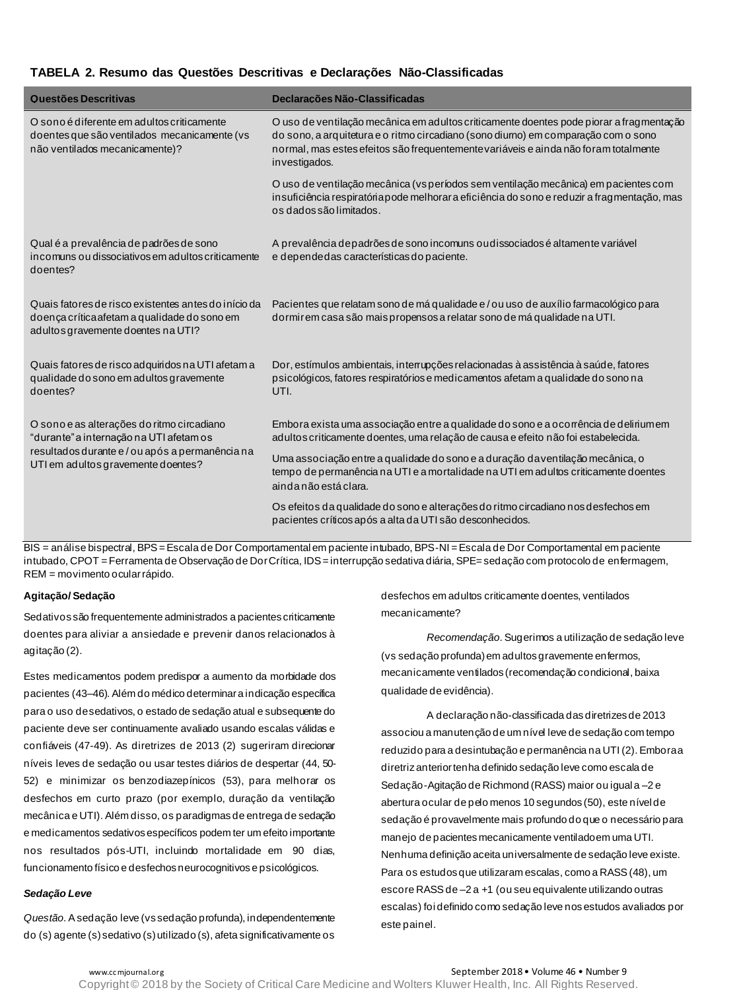### **TABELA 2. Resumo das Questões Descritivas e Declarações Não-Classificadas**

| Questões Descritivas                                                                                                                                                         | Declarações Não-Classificadas                                                                                                                                                                                                                                                        |
|------------------------------------------------------------------------------------------------------------------------------------------------------------------------------|--------------------------------------------------------------------------------------------------------------------------------------------------------------------------------------------------------------------------------------------------------------------------------------|
| O sono é diferente em adultos criticamente<br>do entes que são ventilados mecanicamente (vs<br>não ventilados mecanicamente)?                                                | O uso de ventilação mecânica em adultos criticamente doentes pode piorar a fragmentação<br>do sono, a arquitetura e o ritmo circadiano (sono diumo) em comparação com o sono<br>normal, mas estes efeitos são frequentemente variáveis e ainda não foram totalmente<br>investigados. |
|                                                                                                                                                                              | O uso de ventilação mecânica (vs períodos sem ventilação mecânica) em pacientes com<br>insuficiência respiratória pode melhorar a eficiência do sono e reduzir a fragmentação, mas<br>os dados são limitados.                                                                        |
| Qual é a prevalência de padrões de sono<br>incomuns ou dissociativos em adultos criticamente<br>doentes?                                                                     | A prevalência depadrões de sono incomuns ou dissociados é altamente variável<br>e dependedas características do paciente.                                                                                                                                                            |
| Quais fatores de risco existentes antes do início da<br>do ença crítica afetam a qualidade do sono em<br>adultos gravemente doentes na UTI?                                  | Pacientes que relatam sono de má qualidade e / ou uso de auxílio farmacológico para<br>dormir em casa são mais propensos a relatar sono de má qualidade na UTI.                                                                                                                      |
| Quais fatores de risco adquiridos na UTI afetam a<br>qualidade do sono em adultos gravemente<br>doentes?                                                                     | Dor, estímulos ambientais, interrupções relacionadas à assistência à saúde, fatores<br>psicológicos, fatores respiratórios e medicamentos afetam a qualidade do sono na<br>UTI.                                                                                                      |
| O sono e as alterações do ritmo circadiano<br>"durante" a internação na UTI afetam os<br>resultados durante e/ou após a permanência na<br>UTI em adultos gravemente doentes? | Embora exista uma associação entre a qualidade do sono e a ocorrência de deliriumem<br>adultos criticamente doentes, uma relação de causa e efeito não foi estabelecida.                                                                                                             |
|                                                                                                                                                                              | Uma associação entre a qualidade do sono e a duração da ventilação mecânica, o<br>tempo de permanência na UTI e a mortalidade na UTI em adultos criticamente doentes<br>ainda não está clara.                                                                                        |
|                                                                                                                                                                              | Os efeitos da qualidade do sono e alterações do ritmo circadiano nos desfechos em<br>pacientes críticos após a alta da UTI são desconhecidos.                                                                                                                                        |

BIS = análise bispectral, BPS = Escala de Dor Comportamental em paciente intubado, BPS-NI = Escala de Dor Comportamental em paciente intubado, CPOT = Ferramenta de Observação de Dor Crítica, IDS = interrupção sedativa diária, SPE= sedação com protocolo de enfermagem, REM = movimento ocular rápido.

### **Agitação/ Sedação**

Sedativos são frequentemente administrados a pacientes criticamente doentes para aliviar a ansiedade e prevenir danos relacionados à agitação (2).

Estes medicamentos podem predispor a aumento da morbidade dos pacientes (43–46). Além do médico determinar a indicação específica para o uso de sedativos, o estado de sedação atual e subsequente do paciente deve ser continuamente avaliado usando escalas válidas e confiáveis (47-49). As diretrizes de 2013 (2) sugeriram direcionar níveis leves de sedação ou usar testes diários de despertar (44, 50- 52) e minimizar os benzodiazepínicos (53), para melhorar os desfechos em curto prazo (por exemplo, duração da ventilação mecânica e UTI). Além disso, os paradigmas de entrega de sedação e medicamentos sedativos específicos podem ter um efeito importante nos resultados pós-UTI, incluindo mortalidade em 90 dias, funcionamento físico e desfechos neurocognitivos e psicológicos.

### *Sedação Leve*

*Questão*. A sedação leve (vs sedação profunda), independentemente do (s) agente (s) sedativo (s) utilizado (s), afeta significativamente os

desfechos em adultos criticamente doentes, ventilados mecanicamente?

*Recomendação*. Sugerimos a utilização de sedação leve (vs sedação profunda) em adultos gravemente enfermos, mecanicamente ventilados (recomendação condicional, baixa qualidade de evidência).

A declaração não-classificada das diretrizes de 2013 associou a manutenção de um nível leve de sedação com tempo reduzido para a desintubação e permanência na UTI (2). Embora a diretriz anterior tenha definido sedação leve como escala de Sedação-Agitação de Richmond (RASS) maior ou igual a –2 e abertura ocular de pelo menos 10 segundos (50), este nível de sedação é provavelmente mais profundo do que o necessário para manejo de pacientes mecanicamente ventilado em uma UTI. Nenhuma definição aceita universalmente de sedação leve existe. Para os estudos que utilizaram escalas, como a RASS (48), um escore RASS de –2 a +1 (ou seu equivalente utilizando outras escalas) foi definido como sedação leve nos estudos avaliados por este painel.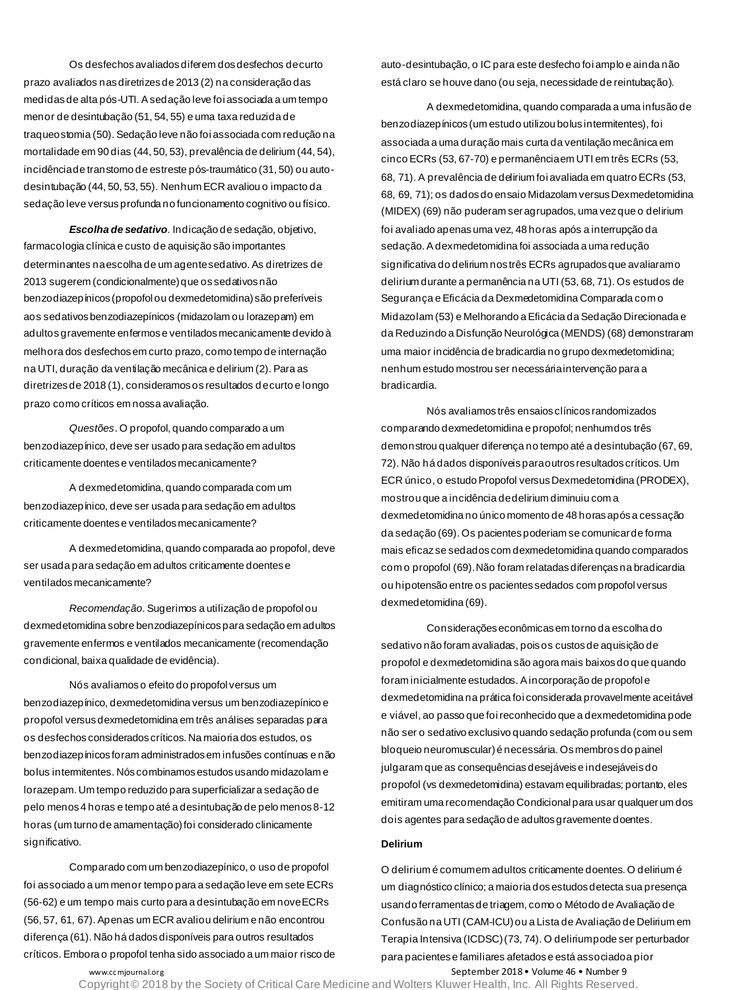Os desfechos avaliados diferem dos desfechos de curto prazo avaliados nas diretrizes de 2013 (2) na consideração das medidas de alta pós-UTI. A sedação leve foi associada a um tempo menor de desintubação (51, 54, 55) e uma taxa reduzida de traqueostomia (50). Sedação leve não foi associada com redução na mortalidade em 90 dias (44, 50, 53), prevalência de delirium (44, 54), incidência de transtorno de estreste pós-traumático (31, 50) ou autodesintubação (44, 50, 53, 55). Nenhum ECR avaliou o impacto da sedação leve versus profunda no funcionamento cognitivo ou físico.

*Escolha de sedativo.* Indicação de sedação, objetivo, farmacologia clínica e custo de aquisição são importantes determinantes na escolha de um agente sedativo. As diretrizes de 2013 sugerem (condicionalmente) que os sedativos não benzodiazepínicos (propofol ou dexmedetomidina) são preferíveis aos sedativos benzodiazepínicos (midazolam ou lorazepam) em adultos gravemente enfermos e ventilados mecanicamente devido à melhora dos desfechos em curto prazo, como tempo de internação na UTI, duração da ventilação mecânica e delirium (2). Para as diretrizes de 2018 (1), consideramos os resultados de curto e longo prazo como críticos em nossa avaliação.

*Questões*. O propofol, quando comparado a um benzodiazepínico, deve ser usado para sedação em adultos criticamente doentes e ventilados mecanicamente?

A dexmedetomidina, quando comparada com um benzodiazepínico, deve ser usada para sedação em adultos criticamente doentes e ventilados mecanicamente?

A dexmedetomidina, quando comparada ao propofol, deve ser usada para sedação em adultos criticamente doentes e ventilados mecanicamente?

*Recomendação*. Sugerimos a utilização de propofol ou dexmedetomidina sobre benzodiazepínicos para sedação em adultos gravemente enfermos e ventilados mecanicamente (recomendação condicional, baixa qualidade de evidência).

Nós avaliamos o efeito do propofol versus um benzodiazepínico, dexmedetomidina versus um benzodiazepínico e propofol versus dexmedetomidina em três análises separadas para os desfechos considerados críticos. Na maioria dos estudos, os benzodiazepínicos foram administrados em infusões contínuas e não bolus intermitentes. Nós combinamos estudos usando midazolam e lorazepam. Um tempo reduzido para superficializar a sedação de pelo menos 4 horas e tempo até a desintubação de pelo menos 8-12 horas (um turno de amamentação) foi considerado clinicamente significativo.

Comparado com um benzodiazepínico, o uso de propofol foi associado a um menor tempo para a sedação leve em sete ECRs (56-62) e um tempo mais curto para a desintubação em nove ECRs (56, 57, 61, 67). Apenas um ECR avaliou delirium e não encontrou diferença (61). Não há dados disponíveis para outros resultados críticos. Embora o propofol tenha sido associado a um maior risco de auto-desintubação, o IC para este desfecho foi amplo e ainda não está claro se houve dano (ou seja, necessidade de reintubação).

A dexmedetomidina, quando comparada a uma infusão de benzodiazepínicos (um estudo utilizou bolus intermitentes), foi associada a uma duração mais curta da ventilação mecânica em cinco ECRs (53, 67-70) e permanência em UTI em três ECRs (53, 68, 71). A prevalência de delirium foi avaliada em quatro ECRs (53, 68, 69, 71); os dados do ensaio Midazolam versus Dexmedetomidina (MIDEX) (69) não puderam ser agrupados, uma vez que o delirium foi avaliado apenas uma vez, 48 horas após a interrupção da sedação. A dexmedetomidina foi associada a uma redução significativa do delirium nos três ECRs agrupados que avaliaram o delirium durante a permanência na UTI (53, 68, 71). Os estudos de Segurança e Eficácia da Dexmedetomidina Comparada com o Midazolam (53) e Melhorando a Eficácia da Sedação Direcionada e da Reduzindo a Disfunção Neurológica (MENDS) (68) demonstraram uma maior incidência de bradicardia no grupo dexmedetomidina; nenhum estudo mostrou ser necessária intervenção para a bradicardia.

Nós avaliamos três ensaios clínicos randomizados comparando dexmedetomidina e propofol; nenhum dos três demonstrou qualquer diferença no tempo até a desintubação (67, 69, 72). Não há dados disponíveis para outros resultados críticos. Um ECR único, o estudo Propofol versus Dexmedetomidina (PRODEX), mostrou que a incidência de delirium diminuiu com a dexmedetomidina no único momento de 48 horas após a cessação da sedação (69). Os pacientes poderiam se comunicar de forma mais eficaz se sedados com dexmedetomidina quando comparados com o propofol (69). Não foram relatadas diferenças na bradicardia ou hipotensão entre os pacientes sedados com propofol versus dexmedetomidina (69).

Considerações econômicas em torno da escolha do sedativo não foram avaliadas, pois os custos de aquisição de propofol e dexmedetomidina são agora mais baixos do que quando foram inicialmente estudados. A incorporação de propofol e dexmedetomidina na prática foi considerada provavelmente aceitável e viável, ao passo que foi reconhecido que a dexmedetomidina pode não ser o sedativo exclusivo quando sedação profunda (com ou sem bloqueio neuromuscular) é necessária. Os membros do painel julgaram que as consequências desejáveis e indesejáveis do propofol (vs dexmedetomidina) estavam equilibradas; portanto, eles emitiram uma recomendação Condicional para usar qualquer um dos dois agentes para sedação de adultos gravemente doentes.

### **Delirium**

O delirium é comum em adultos criticamente doentes. O delirium é um diagnóstico clínico; a maioria dos estudos detecta sua presença usando ferramentas de triagem, como o Método de Avaliação de Confusão na UTI (CAM-ICU) ou a Lista de Avaliação de Delirium em Terapia Intensiva (ICDSC) (73, 74). O delirium pode ser perturbador para pacientes e familiares afetados e está associado a pior

www.cc mjournal.org example and the separate of the September 2018 • Volume 46 • Number 9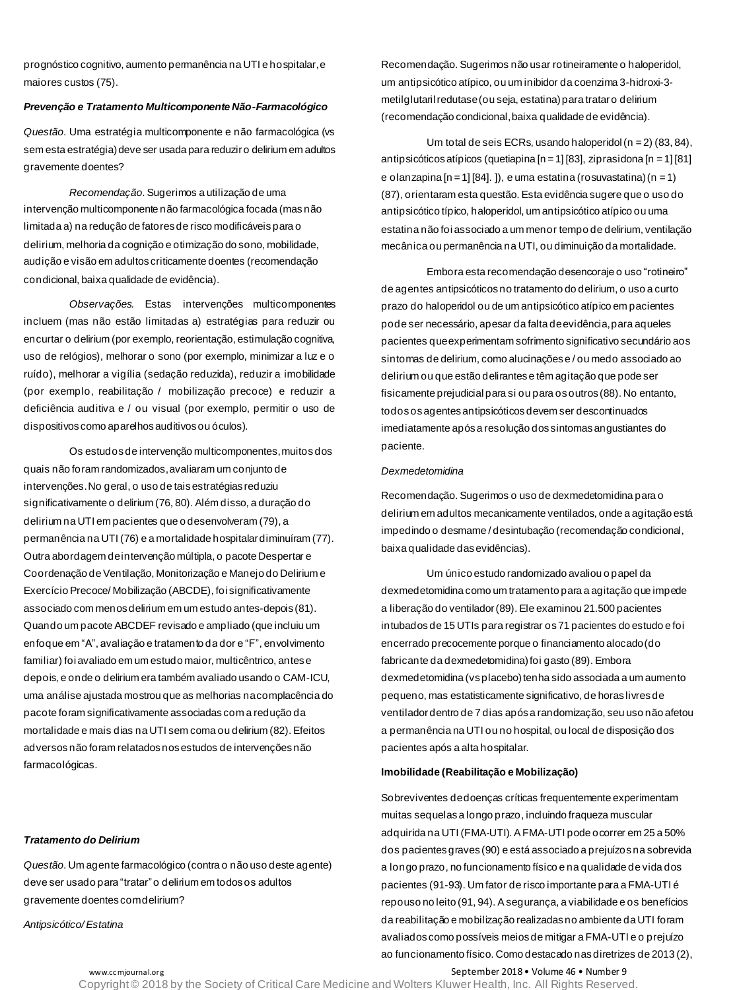prognóstico cognitivo, aumento permanência na UTI e hospitalar, e maiores custos (75).

### *Prevenção e Tratamento Multicomponente Não-Farmacológico*

*Questão*. Uma estratégia multicomponente e não farmacológica (vs sem esta estratégia) deve ser usada para reduzir o delirium em adultos gravemente doentes?

*Recomendação*. Sugerimos a utilização de uma intervenção multicomponente não farmacológica focada (mas não limitada a) na redução de fatores de risco modificáveis para o delirium, melhoria da cognição e otimização do sono, mobilidade, audição e visão em adultos criticamente doentes (recomendação condicional, baixa qualidade de evidência).

*Observações.* Estas intervenções multicomponentes incluem (mas não estão limitadas a) estratégias para reduzir ou encurtar o delirium (por exemplo, reorientação, estimulação cognitiva, uso de relógios), melhorar o sono (por exemplo, minimizar a luz e o ruído), melhorar a vigília (sedação reduzida), reduzir a imobilidade (por exemplo, reabilitação / mobilização precoce) e reduzir a deficiência auditiva e / ou visual (por exemplo, permitir o uso de dispositivos como aparelhos auditivos ou óculos).

Os estudos de intervenção multicomponentes, muitos dos quais não foram randomizados, avaliaram um conjunto de intervenções. No geral, o uso de tais estratégias reduziu significativamente o delirium (76, 80). Além disso, a duração do delirium na UTI em pacientes que o desenvolveram (79), a permanência na UTI (76) e a mortalidade hospitalar diminuíram (77). Outra abordagem de intervenção múltipla, o pacote Despertar e Coordenação de Ventilação, Monitorização e Manejo do Delirium e Exercício Precoce/ Mobilização (ABCDE), foi significativamente associado com menos delirium em um estudo antes-depois (81). Quando um pacote ABCDEF revisado e ampliado (que incluiu um enfoque em "A", avaliação e tratamento da dor e "F", envolvimento familiar) foi avaliado em um estudo maior, multicêntrico, antes e depois, e onde o delirium era também avaliado usando o CAM-ICU, uma análise ajustada mostrou que as melhorias na complacência do pacote foram significativamente associadas com a redução da mortalidade e mais dias na UTI sem coma ou delirium (82). Efeitos adversos não foram relatados nos estudos de intervenções não farmacológicas.

*Tratamento do Delirium* 

*Questão*. Um agente farmacológico (contra o não uso deste agente) deve ser usado para "tratar" o delirium em todos os adultos gravemente doentes com delirium?

*Antipsicótico/ Estatina*

Recomendação. Sugerimos não usar rotineiramente o haloperidol, um antipsicótico atípico, ou um inibidor da coenzima 3-hidroxi-3 metilglutaril redutase (ou seja, estatina) para tratar o delirium (recomendação condicional, baixa qualidade de evidência).

Um total de seis ECRs, usando haloperidol (n = 2) (83, 84), antipsicóticos atípicos (quetiapina [n = 1] [83], ziprasidona [n = 1] [81] e olanzapina  $[n = 1][84]$ .  $]$ , e uma estatina (rosuvastatina) (n = 1) (87), orientaram esta questão. Esta evidência sugere que o uso do antipsicótico típico, haloperidol, um antipsicótico atípico ou uma estatina não foi associado a um menor tempo de delirium, ventilação mecânica ou permanência na UTI, ou diminuição da mortalidade.

Embora esta recomendação desencoraje o uso "rotineiro" de agentes antipsicóticos no tratamento do delirium, o uso a curto prazo do haloperidol ou de um antipsicótico atípico em pacientes pode ser necessário, apesar da falta de evidência, para aqueles pacientes que experimentam sofrimento significativo secundário aos sintomas de delirium, como alucinações e / ou medo associado ao delirium ou que estão delirantes e têm agitação que pode ser fisicamente prejudicial para si ou para os outros (88). No entanto, todos os agentes antipsicóticos devem ser descontinuados imediatamente após a resolução dos sintomas angustiantes do paciente.

#### *Dexmedetomidina*

Recomendação. Sugerimos o uso de dexmedetomidina para o delirium em adultos mecanicamente ventilados, onde a agitação está impedindo o desmame / desintubação (recomendação condicional, baixa qualidade das evidências).

Um único estudo randomizado avaliou o papel da dexmedetomidina como um tratamento para a agitação que impede a liberação do ventilador (89). Ele examinou 21.500 pacientes intubados de 15 UTIs para registrar os 71 pacientes do estudo e foi encerrado precocemente porque o financiamento alocado (do fabricante da dexmedetomidina) foi gasto (89). Embora dexmedetomidina (vs placebo) tenha sido associada a um aumento pequeno, mas estatisticamente significativo, de horas livres de ventilador dentro de 7 dias após a randomização, seu uso não afetou a permanência na UTI ou no hospital, ou local de disposição dos pacientes após a alta hospitalar.

### **Imobilidade (Reabilitação e Mobilização)**

Sobreviventes de doenças críticas frequentemente experimentam muitas sequelas a longo prazo, incluindo fraqueza muscular adquirida na UTI (FMA-UTI). A FMA-UTI pode ocorrer em 25 a 50% dos pacientes graves (90) e está associado a prejuízos na sobrevida a longo prazo, no funcionamento físico e na qualidade de vida dos pacientes (91-93). Um fator de risco importante para a FMA-UTI é repouso no leito (91, 94). A segurança, a viabilidade e os benefícios da reabilitação e mobilização realizadas no ambiente da UTI foram avaliados como possíveis meios de mitigar a FMA-UTI e o prejuízo ao funcionamento físico. Como destacado nas diretrizes de 2013 (2),

www.cc mjournal.org example and the separate of the September 2018 • Volume 46 • Number 9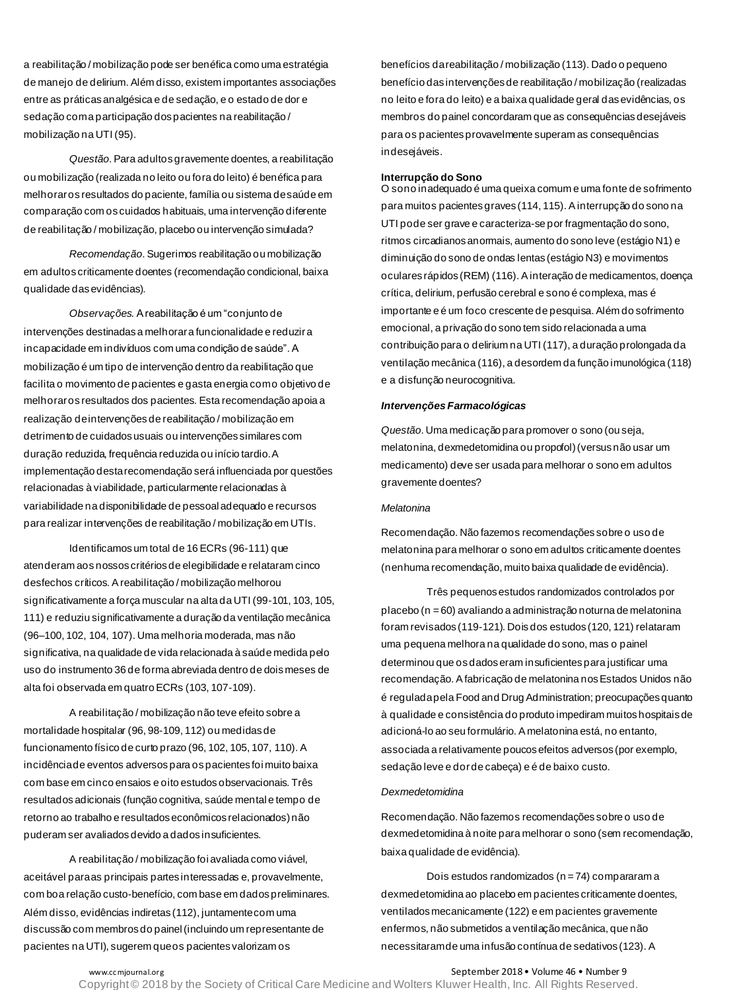a reabilitação / mobilização pode ser benéfica como uma estratégia de manejo de delirium. Além disso, existem importantes associações entre as práticas analgésica e de sedação, e o estado de dor e sedação com a participação dos pacientes na reabilitação / mobilização na UTI (95).

*Questão*. Para adultos gravemente doentes, a reabilitação ou mobilização (realizada no leito ou fora do leito) é benéfica para melhorar os resultados do paciente, família ou sistema de saúde em comparação com os cuidados habituais, uma intervenção diferente de reabilitação / mobilização, placebo ou intervenção simulada?

*Recomendação*. Sugerimos reabilitação ou mobilização em adultos criticamente doentes (recomendação condicional, baixa qualidade das evidências).

*Observações.* A reabilitação é um "conjunto de intervenções destinadas a melhorar a funcionalidade e reduzir a incapacidade em indivíduos com uma condição de saúde". A mobilização é um tipo de intervenção dentro da reabilitação que facilita o movimento de pacientes e gasta energia como objetivo de melhorar os resultados dos pacientes. Esta recomendação apoia a realização de intervenções de reabilitação / mobilização em detrimento de cuidados usuais ou intervenções similares com duração reduzida, frequência reduzida ou início tardio. A implementação desta recomendação será influenciada por questões relacionadas à viabilidade, particularmente relacionadas à variabilidade na disponibilidade de pessoal adequado e recursos para realizar intervenções de reabilitação / mobilização em UTIs.

Identificamos um total de 16 ECRs (96-111) que atenderam aos nossos critérios de elegibilidade e relataram cinco desfechos críticos. A reabilitação / mobilização melhorou significativamente a força muscular na alta da UTI (99-101, 103, 105, 111) e reduziu significativamente a duração da ventilação mecânica (96–100, 102, 104, 107). Uma melhoria moderada, mas não significativa, na qualidade de vida relacionada à saúde medida pelo uso do instrumento 36 de forma abreviada dentro de dois meses de alta foi observada em quatro ECRs (103, 107-109).

A reabilitação / mobilização não teve efeito sobre a mortalidade hospitalar (96, 98-109, 112) ou medidas de funcionamento físico de curto prazo (96, 102, 105, 107, 110). A incidência de eventos adversos para os pacientes foi muito baixa com base em cinco ensaios e oito estudos observacionais. Três resultados adicionais (função cognitiva, saúde mental e tempo de retorno ao trabalho e resultados econômicos relacionados) não puderam ser avaliados devido a dados insuficientes.

A reabilitação / mobilização foi avaliada como viável, aceitável para as principais partes interessadas e, provavelmente, com boa relação custo-benefício, com base em dados preliminares. Além disso, evidências indiretas (112), juntamente com uma discussão com membros do painel (incluindo um representante de pacientes na UTI), sugerem que os pacientes valorizam os

benefícios da reabilitação / mobilização (113). Dado o pequeno benefício das intervenções de reabilitação / mobilização (realizadas no leito e fora do leito) e a baixa qualidade geral das evidências, os membros do painel concordaram que as consequências desejáveis para os pacientes provavelmente superam as consequências indesejáveis.

#### **Interrupção do Sono**

O sono inadequado é uma queixa comum e uma fonte de sofrimento para muitos pacientes graves (114, 115). A interrupção do sono na UTI pode ser grave e caracteriza-se por fragmentação do sono, ritmos circadianos anormais, aumento do sono leve (estágio N1) e diminuição do sono de ondas lentas (estágio N3) e movimentos oculares rápidos (REM) (116). A interação de medicamentos, doença crítica, delirium, perfusão cerebral e sono é complexa, mas é importante e é um foco crescente de pesquisa. Além do sofrimento emocional, a privação do sono tem sido relacionada a uma contribuição para o delirium na UTI (117), a duração prolongada da ventilação mecânica (116), a desordem da função imunológica (118) e a disfunção neurocognitiva.

#### *Intervenções Farmacológicas*

*Questão*. Uma medicação para promover o sono (ou seja, melatonina, dexmedetomidina ou propofol) (versus não usar um medicamento) deve ser usada para melhorar o sono em adultos gravemente doentes?

#### *Melatonina*

Recomendação. Não fazemos recomendações sobre o uso de melatonina para melhorar o sono em adultos criticamente doentes (nenhuma recomendação, muito baixa qualidade de evidência).

Três pequenos estudos randomizados controlados por placebo (n = 60) avaliando a administração noturna de melatonina foram revisados (119-121). Dois dos estudos (120, 121) relataram uma pequena melhora na qualidade do sono, mas o painel determinou que os dados eram insuficientes para justificar uma recomendação. A fabricação de melatonina nos Estados Unidos não é regulada pela Food and Drug Administration; preocupações quanto à qualidade e consistência do produto impediram muitos hospitais de adicioná-lo ao seu formulário. A melatonina está, no entanto, associada a relativamente poucos efeitos adversos (por exemplo, sedação leve e dor de cabeça) e é de baixo custo.

#### *Dexmedetomidina*

Recomendação. Não fazemos recomendações sobre o uso de dexmedetomidina à noite para melhorar o sono (sem recomendação, baixa qualidade de evidência).

Dois estudos randomizados ( $n = 74$ ) compararam a dexmedetomidina ao placebo em pacientes criticamente doentes, ventilados mecanicamente (122) e em pacientes gravemente enfermos, não submetidos a ventilação mecânica, que não necessitaram de uma infusão contínua de sedativos (123). A

www.ccmjournal.org **September 2018 • Volume 46 • Number 9**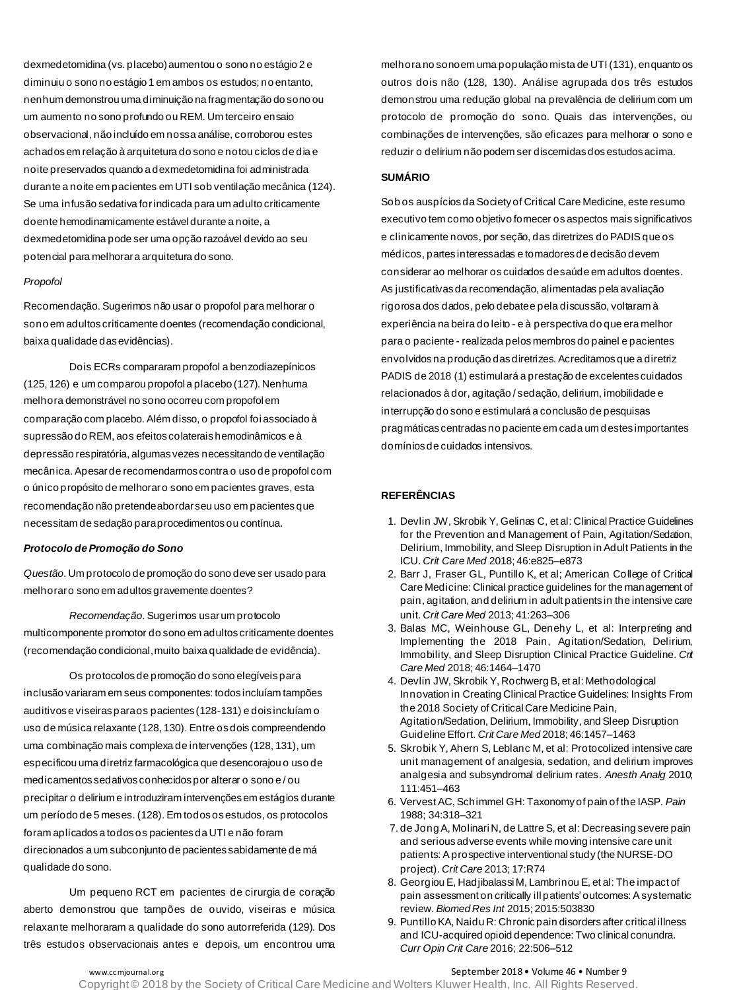dexmedetomidina (vs. placebo) aumentou o sono no estágio 2 e diminuiu o sono no estágio 1 em ambos os estudos; no entanto, nenhum demonstrou uma diminuição na fragmentação do sono ou um aumento no sono profundo ou REM. Um terceiro ensaio observacional, não incluído em nossa análise, corroborou estes achados em relação à arquitetura do sono e notou ciclos de dia e noite preservados quando a dexmedetomidina foi administrada durante a noite em pacientes em UTI sob ventilação mecânica (124). Se uma infusão sedativa for indicada para um adulto criticamente doente hemodinamicamente estável durante a noite, a dexmedetomidina pode ser uma opção razoável devido ao seu potencial para melhorar a arquitetura do sono.

#### *Propofol*

Recomendação. Sugerimos não usar o propofol para melhorar o sono em adultos criticamente doentes (recomendação condicional, baixa qualidade das evidências).

Dois ECRs compararam propofol a benzodiazepínicos (125, 126) e um comparou propofol a placebo (127). Nenhuma melhora demonstrável no sono ocorreu com propofol em comparação com placebo. Além disso, o propofol foi associado à supressão do REM, aos efeitos colaterais hemodinâmicos e à depressão respiratória, algumas vezes necessitando de ventilação mecânica. Apesar de recomendarmos contra o uso de propofol com o único propósito de melhorar o sono em pacientes graves, esta recomendação não pretende abordar seu uso em pacientes que necessitam de sedação para procedimentos ou contínua.

### *Protocolo de Promoção do Sono*

*Questão*. Um protocolo de promoção do sono deve ser usado para melhorar o sono em adultos gravemente doentes?

*Recomendação*. Sugerimos usar um protocolo multicomponente promotor do sono em adultos criticamente doentes (recomendação condicional, muito baixa qualidade de evidência).

Os protocolos de promoção do sono elegíveis para inclusão variaram em seus componentes: todos incluíam tampões auditivos e viseiras para os pacientes (128-131) e dois incluíam o uso de música relaxante (128, 130). Entre os dois compreendendo uma combinação mais complexa de intervenções (128, 131), um especificou uma diretriz farmacológica que desencorajou o uso de medicamentos sedativos conhecidos por alterar o sono e / ou precipitar o delirium e introduziram intervenções em estágios durante um período de 5 meses. (128). Em todos os estudos, os protocolos foram aplicados a todos os pacientes da UTI e não foram direcionados a um subconjunto de pacientes sabidamente de má qualidade do sono.

Um pequeno RCT em pacientes de cirurgia de coração aberto demonstrou que tampões de ouvido, viseiras e música relaxante melhoraram a qualidade do sono autorreferida (129). Dos três estudos observacionais antes e depois, um encontrou uma

melhora no sono em uma população mista de UTI (131), enquanto os outros dois não (128, 130). Análise agrupada dos três estudos demonstrou uma redução global na prevalência de delirium com um protocolo de promoção do sono. Quais das intervenções, ou combinações de intervenções, são eficazes para melhorar o sono e reduzir o delirium não podem ser discernidas dos estudos acima.

### **SUMÁRIO**

Sob os auspícios da Society of Critical Care Medicine, este resumo executivo tem como objetivo fornecer os aspectos mais significativos e clinicamente novos, por seção, das diretrizes do PADIS que os médicos, partes interessadas e tomadores de decisão devem considerar ao melhorar os cuidados de saúde em adultos doentes. As justificativas da recomendação, alimentadas pela avaliação rigorosa dos dados, pelo debate e pela discussão, voltaram à experiência na beira do leito - e à perspectiva do que era melhor para o paciente - realizada pelos membros do painel e pacientes envolvidos na produção das diretrizes. Acreditamos que a diretriz PADIS de 2018 (1) estimulará a prestação de excelentes cuidados relacionados à dor, agitação / sedação, delirium, imobilidade e interrupção do sono e estimulará a conclusão de pesquisas pragmáticas centradas no paciente em cada um destes importantes domínios de cuidados intensivos.

# **REFERÊNCIAS**

- 1. Devlin JW, Skrobik Y, Gelinas C, et al: Clinical Practice Guidelines for the Prevention and Management of Pain, Agitation/Sedation, Delirium, Immobility, and Sleep Disruption in Adult Patients in the ICU. *Crit Care Med* 2018; 46:e825–e873
- 2. Barr J, Fraser GL, Puntillo K, et al; American College of Critical Care Medicine: Clinical practice guidelines for the management of pain, agitation, and delirium in adult patients in the intensive care unit. *Crit Care Med* 2013; 41:263–306
- 3. Balas MC, Weinhouse GL, Denehy L, et al: Interpreting and Implementing the 2018 Pain, Agitation/Sedation, Delirium, Immobility, and Sleep Disruption Clinical Practice Guideline. *Crit Care Med* 2018; 46:1464–1470
- 4. Devlin JW, Skrobik Y, Rochwerg B, et al: Methodological Innovation in Creating Clinical Practice Guidelines: Insights From the 2018 Society of Critical Care Medicine Pain, Agitation/Sedation, Delirium, Immobility, and Sleep Disruption Guideline Effort. *Crit Care Med* 2018; 46:1457–1463
- 5. Skrobik Y, Ahern S, Leblanc M, et al: Protocolized intensive care unit management of analgesia, sedation, and delirium improves analgesia and subsyndromal delirium rates. *Anesth Analg* 2010; 111:451–463
- 6. Vervest AC, Schimmel GH: Taxonomy of pain of the IASP. *Pain* 1988; 34:318–321
- 7. de Jong A, Molinari N, de Lattre S, et al: Decreasing severe pain and serious adverse events while moving intensive care unit patients: A prospective interventional study (the NURSE-DO project). *Crit Care* 2013; 17:R74
- 8. Georgiou E, Hadjibalassi M, Lambrinou E, et al: The impact of pain assessment on critically ill patients' outcomes: A systematic review. *Biomed Res Int* 2015; 2015:503830
- 9. Puntillo KA, Naidu R: Chronic pain disorders after critical illness and ICU-acquired opioid dependence: Two clinical conundra. *Curr Opin Crit Care* 2016; 22:506–512

### www.cc mjournal.org **September 2018 • Volume 46 • Number 9** · Number 9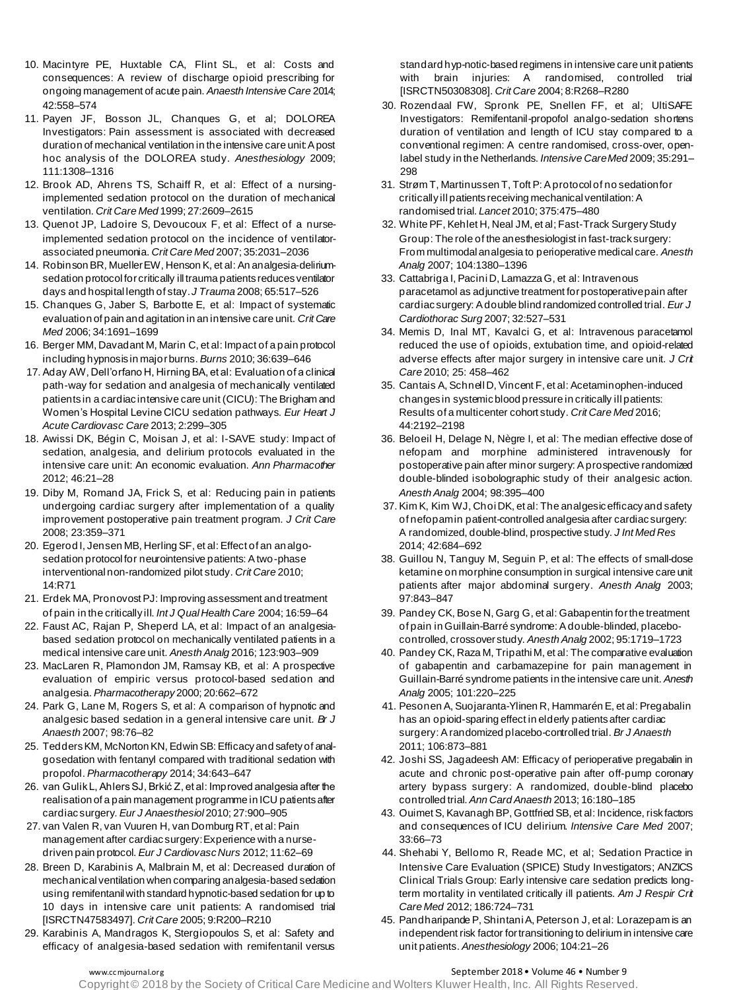- 10. Macintyre PE, Huxtable CA, Flint SL, et al: Costs and consequences: A review of discharge opioid prescribing for ongoing management of acute pain. *Anaesth Intensive Care* 2014; 42:558–574
- 11. Payen JF, Bosson JL, Chanques G, et al; DOLOREA Investigators: Pain assessment is associated with decreased duration of mechanical ventilation in the intensive care unit: A post hoc analysis of the DOLOREA study. *Anesthesiology* 2009; 111:1308–1316
- 12. Brook AD, Ahrens TS, Schaiff R, et al: Effect of a nursingimplemented sedation protocol on the duration of mechanical ventilation. *Crit Care Med* 1999; 27:2609–2615
- 13. Quenot JP, Ladoire S, Devoucoux F, et al: Effect of a nurseimplemented sedation protocol on the incidence of ventilatorassociated pneumonia. *Crit Care Med* 2007; 35:2031–2036
- 14. Robinson BR, Mueller EW, Henson K, et al: An analgesia-deliriumsedation protocol for critically ill trauma patients reduces ventilator days and hospital length of stay. *J Trauma* 2008; 65:517–526
- 15. Chanques G, Jaber S, Barbotte E, et al: Impact of systematic evaluation of pain and agitation in an intensive care unit. *Crit Care Med* 2006; 34:1691–1699
- 16. Berger MM, Davadant M, Marin C, et al: Impact of a pain protocol including hypnosis in major burns. *Burns* 2010; 36:639–646
- 17. Aday AW, Dell'orfano H, Hirning BA, et al: Evaluation of a clinical path-way for sedation and analgesia of mechanically ventilated patients in a cardiac intensive care unit (CICU): The Brigham and Women's Hospital Levine CICU sedation pathways. *Eur Heart J Acute Cardiovasc Care* 2013; 2:299–305
- 18. Awissi DK, Bégin C, Moisan J, et al: I-SAVE study: Impact of sedation, analgesia, and delirium protocols evaluated in the intensive care unit: An economic evaluation. *Ann Pharmacother* 2012; 46:21–28
- 19. Diby M, Romand JA, Frick S, et al: Reducing pain in patients undergoing cardiac surgery after implementation of a quality improvement postoperative pain treatment program. *J Crit Care* 2008; 23:359–371
- 20. Egerod I, Jensen MB, Herling SF, et al: Effect of an analgosedation protocol for neurointensive patients: A two-phase interventional non-randomized pilot study. *Crit Care* 2010; 14:R71
- 21. Erdek MA, Pronovost PJ: Improving assessment and treatment of pain in the critically ill. *Int J Qual Health Care* 2004; 16:59–64
- 22. Faust AC, Rajan P, Sheperd LA, et al: Impact of an analgesiabased sedation protocol on mechanically ventilated patients in a medical intensive care unit. *Anesth Analg* 2016; 123:903–909
- 23. MacLaren R, Plamondon JM, Ramsay KB, et al: A prospective evaluation of empiric versus protocol-based sedation and analgesia. *Pharmacotherapy* 2000; 20:662–672
- 24. Park G, Lane M, Rogers S, et al: A comparison of hypnotic and analgesic based sedation in a general intensive care unit. *Br J Anaesth* 2007; 98:76–82
- 25. Tedders KM, McNorton KN, Edwin SB: Efficacy and safety of analgosedation with fentanyl compared with traditional sedation with propofol. *Pharmacotherapy* 2014; 34:643–647
- 26. van Gulik L, Ahlers SJ, Brkić Z, et al: Improved analgesia after the realisation of a pain management programme in ICU patients after cardiac surgery. *Eur J Anaesthesiol* 2010; 27:900–905
- 27. van Valen R, van Vuuren H, van Domburg RT, et al: Pain management after cardiac surgery: Experience with a nursedriven pain protocol. *Eur J Cardiovasc Nurs* 2012; 11:62–69
- 28. Breen D, Karabinis A, Malbrain M, et al: Decreased duration of mechanical ventilation when comparing analgesia-based sedation using remifentanil with standard hypnotic-based sedation for up to 10 days in intensive care unit patients: A randomised trial [ISRCTN47583497]. *Crit Care* 2005; 9:R200–R210
- 29. Karabinis A, Mandragos K, Stergiopoulos S, et al: Safety and efficacy of analgesia-based sedation with remifentanil versus

standard hyp-notic-based regimens in intensive care unit patients with brain injuries: A randomised, controlled trial [ISRCTN50308308]. *Crit Care* 2004; 8:R268–R280

- 30. Rozendaal FW, Spronk PE, Snellen FF, et al; UltiSAFE Investigators: Remifentanil-propofol analgo-sedation shortens duration of ventilation and length of ICU stay compared to a conventional regimen: A centre randomised, cross-over, openlabel study in the Netherlands. *Intensive Care Med* 2009; 35:291– 298
- 31. Strøm T, Martinussen T, Toft P: A protocol of no sedation for critically ill patients receiving mechanical ventilation: A randomised trial. *Lancet* 2010; 375:475–480
- 32. White PF, Kehlet H, Neal JM, et al; Fast-Track Surgery Study Group: The role of the anesthesiologist in fast-track surgery: From multimodal analgesia to perioperative medical care. *Anesth Analg* 2007; 104:1380–1396
- 33. Cattabriga I, Pacini D, Lamazza G, et al: Intravenous paracetamol as adjunctive treatment for postoperative pain after cardiac surgery: A double blind randomized controlled trial. *Eur J Cardiothorac Surg* 2007; 32:527–531
- 34. Memis D, Inal MT, Kavalci G, et al: Intravenous paracetamol reduced the use of opioids, extubation time, and opioid-related adverse effects after major surgery in intensive care unit. *J Crit Care* 2010; 25: 458–462
- 35. Cantais A, Schnell D, Vincent F, et al: Acetaminophen-induced changes in systemic blood pressure in critically ill patients: Results of a multicenter cohort study. *Crit Care Med* 2016; 44:2192–2198
- 36. Beloeil H, Delage N, Nègre I, et al: The median effective dose of nefopam and morphine administered intravenously for postoperative pain after minor surgery: A prospective randomized double-blinded isobolographic study of their analgesic action. *Anesth Analg* 2004; 98:395–400
- 37. Kim K, Kim WJ, Choi DK, et al: The analgesic efficacy and safety of nefopamin patient-controlled analgesia after cardiac surgery: A randomized, double-blind, prospective study. *J Int Med Res* 2014; 42:684–692
- 38. Guillou N, Tanguy M, Seguin P, et al: The effects of small-dose ketamine on morphine consumption in surgical intensive care unit patients after major abdominal surgery. *Anesth Analg* 2003; 97:843–847
- 39. Pandey CK, Bose N, Garg G, et al: Gabapentin for the treatment of pain in Guillain-Barré syndrome: A double-blinded, placebocontrolled, crossover study. *Anesth Analg* 2002; 95:1719–1723
- 40. Pandey CK, Raza M, Tripathi M, et al: The comparative evaluation of gabapentin and carbamazepine for pain management in Guillain-Barré syndrome patients in the intensive care unit. *Anesth Analg* 2005; 101:220–225
- 41. Pesonen A, Suojaranta-Ylinen R, Hammarén E, et al: Pregabalin has an opioid-sparing effect in elderly patients after cardiac surgery: A randomized placebo-controlled trial. *Br J Anaesth* 2011; 106:873–881
- 42. Joshi SS, Jagadeesh AM: Efficacy of perioperative pregabalin in acute and chronic post-operative pain after off-pump coronary artery bypass surgery: A randomized, double-blind placebo controlled trial. *Ann Card Anaesth* 2013; 16:180–185
- 43. Ouimet S, Kavanagh BP, Gottfried SB, et al: Incidence, risk factors and consequences of ICU delirium. *Intensive Care Med* 2007; 33:66–73
- 44. Shehabi Y, Bellomo R, Reade MC, et al; Sedation Practice in Intensive Care Evaluation (SPICE) Study Investigators; ANZICS Clinical Trials Group: Early intensive care sedation predicts longterm mortality in ventilated critically ill patients. *Am J Respir Crit Care Med* 2012; 186:724–731
- 45. Pandharipande P, Shintani A, Peterson J, et al: Lorazepam is an independent risk factor for transitioning to delirium in intensive care unit patients. *Anesthesiology* 2006; 104:21–26

# www.ccmjournal.org **September 2018 • Volume 46 • Number 9**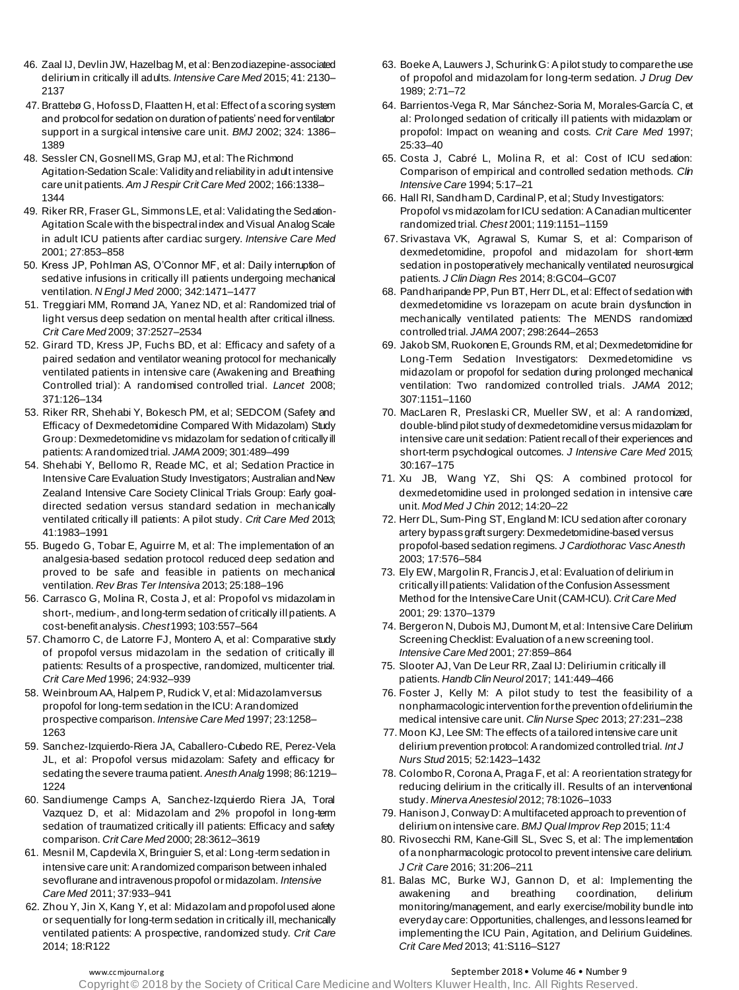- 46. Zaal IJ, Devlin JW, Hazelbag M, et al: Benzodiazepine-associated delirium in critically ill adults. *Intensive Care Med* 2015; 41: 2130– 2137
- 47. Brattebø G, Hofoss D, Flaatten H, et al: Effect of a scoring system and protocol for sedation on duration of patients' need for ventilator support in a surgical intensive care unit. *BMJ* 2002; 324: 1386– 1389
- 48. Sessler CN, Gosnell MS, Grap MJ, et al: The Richmond Agitation-Sedation Scale: Validity and reliability in adult intensive care unit patients. *Am J Respir Crit Care Med* 2002; 166:1338– 1344
- 49. Riker RR, Fraser GL, Simmons LE, et al: Validating the Sedation-Agitation Scale with the bispectral index and Visual Analog Scale in adult ICU patients after cardiac surgery. *Intensive Care Med* 2001; 27:853–858
- 50. Kress JP, Pohlman AS, O'Connor MF, et al: Daily interruption of sedative infusions in critically ill patients undergoing mechanical ventilation. *N Engl J Med* 2000; 342:1471–1477
- 51. Treggiari MM, Romand JA, Yanez ND, et al: Randomized trial of light versus deep sedation on mental health after critical illness. *Crit Care Med* 2009; 37:2527–2534
- 52. Girard TD, Kress JP, Fuchs BD, et al: Efficacy and safety of a paired sedation and ventilator weaning protocol for mechanically ventilated patients in intensive care (Awakening and Breathing Controlled trial): A randomised controlled trial. *Lancet* 2008; 371:126–134
- 53. Riker RR, Shehabi Y, Bokesch PM, et al; SEDCOM (Safety and Efficacy of Dexmedetomidine Compared With Midazolam) Study Group: Dexmedetomidine vs midazolam for sedation of critically ill patients: A randomized trial. *JAMA*2009; 301:489–499
- 54. Shehabi Y, Bellomo R, Reade MC, et al; Sedation Practice in Intensive Care Evaluation Study Investigators; Australian and New Zealand Intensive Care Society Clinical Trials Group: Early goaldirected sedation versus standard sedation in mechanically ventilated critically ill patients: A pilot study. *Crit Care Med* 2013; 41:1983–1991
- 55. Bugedo G, Tobar E, Aguirre M, et al: The implementation of an analgesia-based sedation protocol reduced deep sedation and proved to be safe and feasible in patients on mechanical ventilation. *Rev Bras Ter Intensiva* 2013; 25:188–196
- 56. Carrasco G, Molina R, Costa J, et al: Propofol vs midazolam in short-, medium-, and long-term sedation of critically ill patients. A cost-benefit analysis. *Chest*1993; 103:557–564
- 57. Chamorro C, de Latorre FJ, Montero A, et al: Comparative study of propofol versus midazolam in the sedation of critically ill patients: Results of a prospective, randomized, multicenter trial. *Crit Care Med* 1996; 24:932–939
- 58. Weinbroum AA, Halpern P, Rudick V, et al: Midazolam versus propofol for long-term sedation in the ICU: A randomized prospective comparison. *Intensive Care Med* 1997; 23:1258– 1263
- 59. Sanchez-Izquierdo-Riera JA, Caballero-Cubedo RE, Perez-Vela JL, et al: Propofol versus midazolam: Safety and efficacy for sedating the severe trauma patient. *Anesth Analg* 1998; 86:1219– 1224
- 60. Sandiumenge Camps A, Sanchez-Izquierdo Riera JA, Toral Vazquez D, et al: Midazolam and 2% propofol in long-term sedation of traumatized critically ill patients: Efficacy and safety comparison. *Crit Care Med* 2000; 28:3612–3619
- 61. Mesnil M, Capdevila X, Bringuier S, et al: Long-term sedation in intensive care unit: A randomized comparison between inhaled sevoflurane and intravenous propofol or midazolam. *Intensive Care Med* 2011; 37:933–941
- 62. Zhou Y, Jin X, Kang Y, et al: Midazolam and propofol used alone or sequentially for long-term sedation in critically ill, mechanically ventilated patients: A prospective, randomized study. *Crit Care* 2014; 18:R122
- 63. Boeke A, Lauwers J, Schurink G: A pilot study to compare the use of propofol and midazolam for long-term sedation. *J Drug Dev* 1989; 2:71–72
- 64. Barrientos-Vega R, Mar Sánchez-Soria M, Morales-García C, et al: Prolonged sedation of critically ill patients with midazolam or propofol: Impact on weaning and costs. *Crit Care Med* 1997; 25:33–40
- 65. Costa J, Cabré L, Molina R, et al: Cost of ICU sedation: Comparison of empirical and controlled sedation methods. *Clin Intensive Care* 1994; 5:17–21
- 66. Hall RI, Sandham D, Cardinal P, et al; Study Investigators: Propofol vs midazolam forICU sedation: A Canadian multicenter randomized trial. *Chest* 2001; 119:1151–1159
- 67. Srivastava VK, Agrawal S, Kumar S, et al: Comparison of dexmedetomidine, propofol and midazolam for short-term sedation in postoperatively mechanically ventilated neurosurgical patients. *J Clin Diagn Res* 2014; 8:GC04–GC07
- 68. Pandharipande PP, Pun BT, Herr DL, et al: Effect of sedation with dexmedetomidine vs lorazepam on acute brain dysfunction in mechanically ventilated patients: The MENDS randomized controlled trial. *JAMA* 2007; 298:2644–2653
- 69. Jakob SM, Ruokonen E, Grounds RM, et al; Dexmedetomidine for Long-Term Sedation Investigators: Dexmedetomidine vs midazolam or propofol for sedation during prolonged mechanical ventilation: Two randomized controlled trials. *JAMA* 2012; 307:1151–1160
- 70. MacLaren R, Preslaski CR, Mueller SW, et al: A randomized, double-blind pilot study of dexmedetomidine versus midazolam for intensive care unit sedation: Patient recall of their experiences and short-term psychological outcomes. *J Intensive Care Med* 2015; 30:167–175
- 71. Xu JB, Wang YZ, Shi QS: A combined protocol for dexmedetomidine used in prolonged sedation in intensive care unit. *Mod Med J Chin* 2012; 14:20–22
- 72. Herr DL, Sum-Ping ST, England M: ICU sedation after coronary artery bypass graft surgery: Dexmedetomidine-based versus propofol-based sedation regimens. *J Cardiothorac Vasc Anesth* 2003; 17:576–584
- 73. Ely EW, Margolin R, Francis J, et al: Evaluation of delirium in critically ill patients: Validation of the Confusion Assessment Method for the Intensive Care Unit (CAM-ICU). *Crit Care Med* 2001; 29: 1370–1379
- 74. Bergeron N, Dubois MJ, Dumont M, et al: Intensive Care Delirium Screening Checklist: Evaluation of a new screening tool. *Intensive Care Med* 2001; 27:859–864
- 75. Slooter AJ, Van De Leur RR, Zaal IJ: Deliriumin critically ill patients. *Handb Clin Neurol* 2017; 141:449–466
- 76. Foster J, Kelly M: A pilot study to test the feasibility of a nonpharmacologic intervention for the prevention of delirium in the medical intensive care unit. *Clin Nurse Spec* 2013; 27:231–238
- 77. Moon KJ, Lee SM: The effects of a tailored intensive care unit delirium prevention protocol: A randomized controlled trial. *Int J Nurs Stud* 2015; 52:1423–1432
- 78. Colombo R, Corona A, Praga F, et al: A reorientation strategy for reducing delirium in the critically ill. Results of an interventional study. *Minerva Anestesiol* 2012; 78:1026–1033
- 79. Hanison J, Conway D: A multifaceted approach to prevention of delirium on intensive care. *BMJ Qual Improv Rep* 2015; 11:4
- 80. Rivosecchi RM, Kane-Gill SL, Svec S, et al: The implementation of a nonpharmacologic protocol to prevent intensive care delirium. *J Crit Care* 2016; 31:206–211
- 81. Balas MC, Burke WJ, Gannon D, et al: Implementing the awakening and breathing coordination, delirium monitoring/management, and early exercise/mobility bundle into everyday care: Opportunities, challenges, and lessons learned for implementing the ICU Pain, Agitation, and Delirium Guidelines. *Crit Care Med* 2013; 41:S116–S127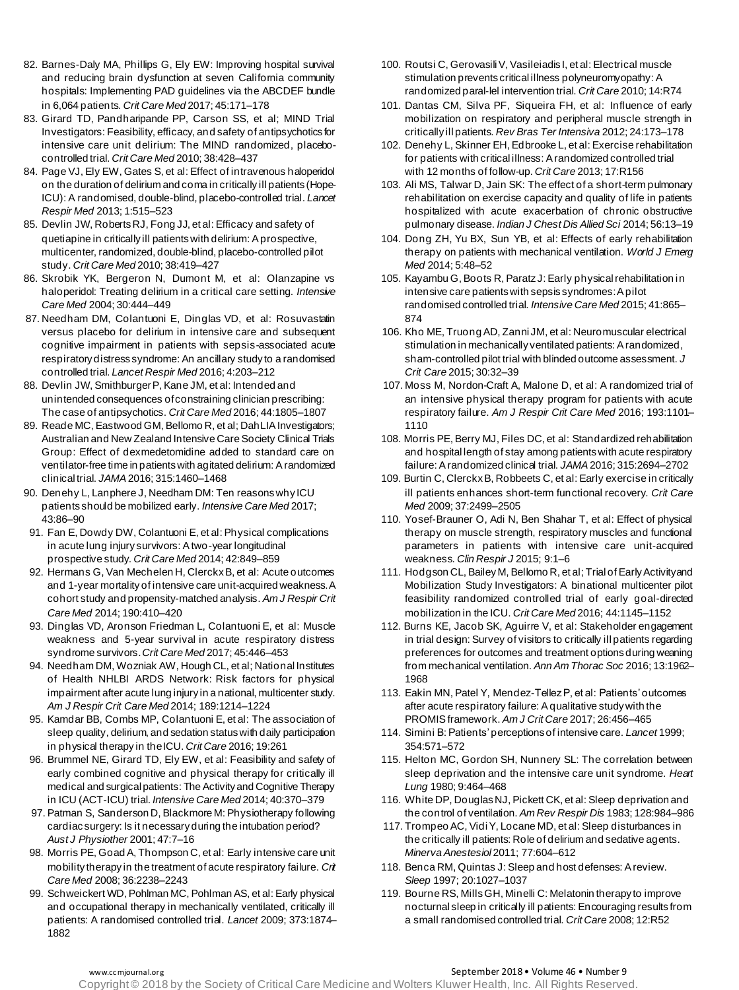- 82. Barnes-Daly MA, Phillips G, Ely EW: Improving hospital survival and reducing brain dysfunction at seven California community hospitals: Implementing PAD guidelines via the ABCDEF bundle in 6,064 patients. *Crit Care Med* 2017; 45:171–178
- 83. Girard TD, Pandharipande PP, Carson SS, et al; MIND Trial Investigators: Feasibility, efficacy, and safety of antipsychotics for intensive care unit delirium: The MIND randomized, placebocontrolled trial. *Crit Care Med* 2010; 38:428–437
- 84. Page VJ, Ely EW, Gates S, et al: Effect of intravenous haloperidol on the duration of delirium and coma in critically ill patients (Hope-ICU): A randomised, double-blind, placebo-controlled trial. *Lancet Respir Med* 2013; 1:515–523
- 85. Devlin JW, Roberts RJ, Fong JJ, et al: Efficacy and safety of quetiapine in critically ill patients with delirium: A prospective, multicenter, randomized, double-blind, placebo-controlled pilot study. *Crit Care Med* 2010; 38:419–427
- 86. Skrobik YK, Bergeron N, Dumont M, et al: Olanzapine vs haloperidol: Treating delirium in a critical care setting. *Intensive Care Med* 2004; 30:444–449
- 87. Needham DM, Colantuoni E, Dinglas VD, et al: Rosuvastatin versus placebo for delirium in intensive care and subsequent cognitive impairment in patients with sepsis-associated acute respiratory distress syndrome: An ancillary study to a randomised controlled trial. *Lancet Respir Med* 2016; 4:203–212
- 88. Devlin JW, Smithburger P, Kane JM, et al: Intended and unintended consequences of constraining clinician prescribing: The case of antipsychotics. *Crit Care Med* 2016; 44:1805–1807
- 89. Reade MC, Eastwood GM, Bellomo R, et al; DahLIA Investigators; Australian and New Zealand Intensive Care Society Clinical Trials Group: Effect of dexmedetomidine added to standard care on ventilator-free time in patients with agitated delirium: A randomized clinical trial. *JAMA*2016; 315:1460–1468
- 90. Denehy L, Lanphere J, Needham DM: Ten reasons why ICU patients should be mobilized early. *Intensive Care Med* 2017; 43:86–90
- 91. Fan E, Dowdy DW, Colantuoni E, et al: Physical complications in acute lung injury survivors: A two-year longitudinal prospective study. *Crit Care Med* 2014; 42:849–859
- 92. Hermans G, Van Mechelen H, Clerckx B, et al: Acute outcomes and 1-year mortality of intensive care unit-acquired weakness. A cohort study and propensity-matched analysis. *Am J Respir Crit Care Med* 2014; 190:410–420
- 93. Dinglas VD, Aronson Friedman L, Colantuoni E, et al: Muscle weakness and 5-year survival in acute respiratory distress syndrome survivors. *Crit Care Med* 2017; 45:446–453
- 94. Needham DM, Wozniak AW, Hough CL, et al; National Institutes of Health NHLBI ARDS Network: Risk factors for physical impairment after acute lung injury in a national, multicenter study. *Am J Respir Crit Care Med* 2014; 189:1214–1224
- 95. Kamdar BB, Combs MP, Colantuoni E, et al: The association of sleep quality, delirium, and sedation status with daily participation in physical therapy in the ICU. *Crit Care* 2016; 19:261
- 96. Brummel NE, Girard TD, Ely EW, et al: Feasibility and safety of early combined cognitive and physical therapy for critically ill medical and surgical patients: The Activity and Cognitive Therapy in ICU (ACT-ICU) trial. *Intensive Care Med* 2014; 40:370–379
- 97. Patman S, Sanderson D, Blackmore M: Physiotherapy following cardiac surgery: Is it necessary during the intubation period? *Aust J Physiother* 2001; 47:7–16
- 98. Morris PE, Goad A, Thompson C, et al: Early intensive care unit mobility therapy in the treatment of acute respiratory failure. *Crit Care Med* 2008; 36:2238–2243
- 99. Schweickert WD, Pohlman MC, Pohlman AS, et al: Early physical and occupational therapy in mechanically ventilated, critically ill patients: A randomised controlled trial. *Lancet* 2009; 373:1874– 1882
- 100. Routsi C, Gerovasili V, Vasileiadis I, et al: Electrical muscle stimulation prevents critical illness polyneuromyopathy: A randomized paral-lel intervention trial. *Crit Care* 2010; 14:R74
- 101. Dantas CM, Silva PF, Siqueira FH, et al: Influence of early mobilization on respiratory and peripheral muscle strength in critically ill patients. *Rev Bras Ter Intensiva* 2012; 24:173–178
- 102. Denehy L, Skinner EH, Edbrooke L, et al: Exercise rehabilitation for patients with critical illness: A randomized controlled trial with 12 months of follow-up. *Crit Care* 2013; 17:R156
- 103. Ali MS, Talwar D, Jain SK: The effect of a short-term pulmonary rehabilitation on exercise capacity and quality of life in patients hospitalized with acute exacerbation of chronic obstructive pulmonary disease. *Indian J Chest Dis Allied Sci* 2014; 56:13–19
- 104. Dong ZH, Yu BX, Sun YB, et al: Effects of early rehabilitation therapy on patients with mechanical ventilation. *World J Emerg Med* 2014; 5:48–52
- 105. Kayambu G, Boots R, Paratz J: Early physical rehabilitation in intensive care patients with sepsis syndromes: A pilot randomised controlled trial. *Intensive Care Med* 2015; 41:865– 874
- 106. Kho ME, Truong AD, Zanni JM, et al: Neuromuscular electrical stimulation in mechanically ventilated patients: A randomized, sham-controlled pilot trial with blinded outcome assessment. *J Crit Care* 2015; 30:32–39
- 107. Moss M, Nordon-Craft A, Malone D, et al: A randomized trial of an intensive physical therapy program for patients with acute respiratory failure. *Am J Respir Crit Care Med* 2016; 193:1101– 1110
- 108. Morris PE, Berry MJ, Files DC, et al: Standardized rehabilitation and hospital length of stay among patients with acute respiratory failure: A randomized clinical trial. *JAMA*2016; 315:2694–2702
- 109. Burtin C, Clerckx B, Robbeets C, et al: Early exercise in critically ill patients enhances short-term functional recovery. *Crit Care Med* 2009; 37:2499–2505
- 110. Yosef-Brauner O, Adi N, Ben Shahar T, et al: Effect of physical therapy on muscle strength, respiratory muscles and functional parameters in patients with intensive care unit-acquired weakness. *Clin Respir J* 2015; 9:1–6
- 111. Hodgson CL, Bailey M, Bellomo R, et al; Trial of Early Activity and Mobilization Study Investigators: A binational multicenter pilot feasibility randomized controlled trial of early goal-directed mobilization in the ICU. *Crit Care Med* 2016; 44:1145–1152
- 112. Burns KE, Jacob SK, Aguirre V, et al: Stakeholder engagement in trial design: Survey of visitors to critically ill patients regarding preferences for outcomes and treatment options during weaning from mechanical ventilation. *Ann Am Thorac Soc* 2016; 13:1962– 1968
- 113. Eakin MN, Patel Y, Mendez-Tellez P, et al: Patients' outcomes after acute respiratory failure: A qualitative study with the PROMIS framework. *Am J Crit Care* 2017; 26:456–465
- 114. Simini B: Patients' perceptions of intensive care. *Lancet* 1999; 354:571–572
- 115. Helton MC, Gordon SH, Nunnery SL: The correlation between sleep deprivation and the intensive care unit syndrome. *Heart Lung* 1980; 9:464–468
- 116. White DP, Douglas NJ, Pickett CK, et al: Sleep deprivation and the control of ventilation. *Am Rev Respir Dis* 1983; 128:984–986
- 117. Trompeo AC, Vidi Y, Locane MD, et al: Sleep disturbances in the critically ill patients: Role of delirium and sedative agents. *Minerva Anestesiol* 2011; 77:604–612
- 118. Benca RM, Quintas J: Sleep and host defenses: A review. *Sleep* 1997; 20:1027–1037
- 119. Bourne RS, Mills GH, Minelli C: Melatonin therapy to improve nocturnal sleep in critically ill patients: Encouraging results from a small randomised controlled trial. *Crit Care* 2008; 12:R52